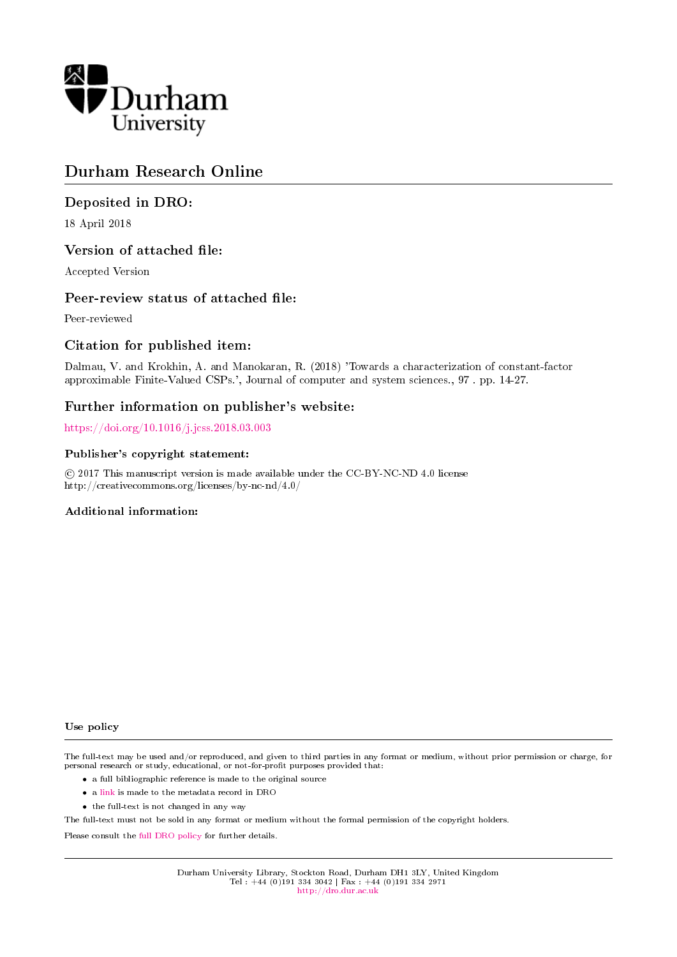

# Durham Research Online

# Deposited in DRO:

18 April 2018

## Version of attached file:

Accepted Version

## Peer-review status of attached file:

Peer-reviewed

## Citation for published item:

Dalmau, V. and Krokhin, A. and Manokaran, R. (2018) 'Towards a characterization of constant-factor approximable Finite-Valued CSPs.', Journal of computer and system sciences., 97 . pp. 14-27.

## Further information on publisher's website:

<https://doi.org/10.1016/j.jcss.2018.03.003>

## Publisher's copyright statement:

 c 2017 This manuscript version is made available under the CC-BY-NC-ND 4.0 license http://creativecommons.org/licenses/by-nc-nd/4.0/

## Additional information:

Use policy

The full-text may be used and/or reproduced, and given to third parties in any format or medium, without prior permission or charge, for personal research or study, educational, or not-for-profit purposes provided that:

- a full bibliographic reference is made to the original source
- a [link](http://dro.dur.ac.uk/24602/) is made to the metadata record in DRO
- the full-text is not changed in any way

The full-text must not be sold in any format or medium without the formal permission of the copyright holders.

Please consult the [full DRO policy](http://dro.dur.ac.uk/policies/usepolicy.pdf) for further details.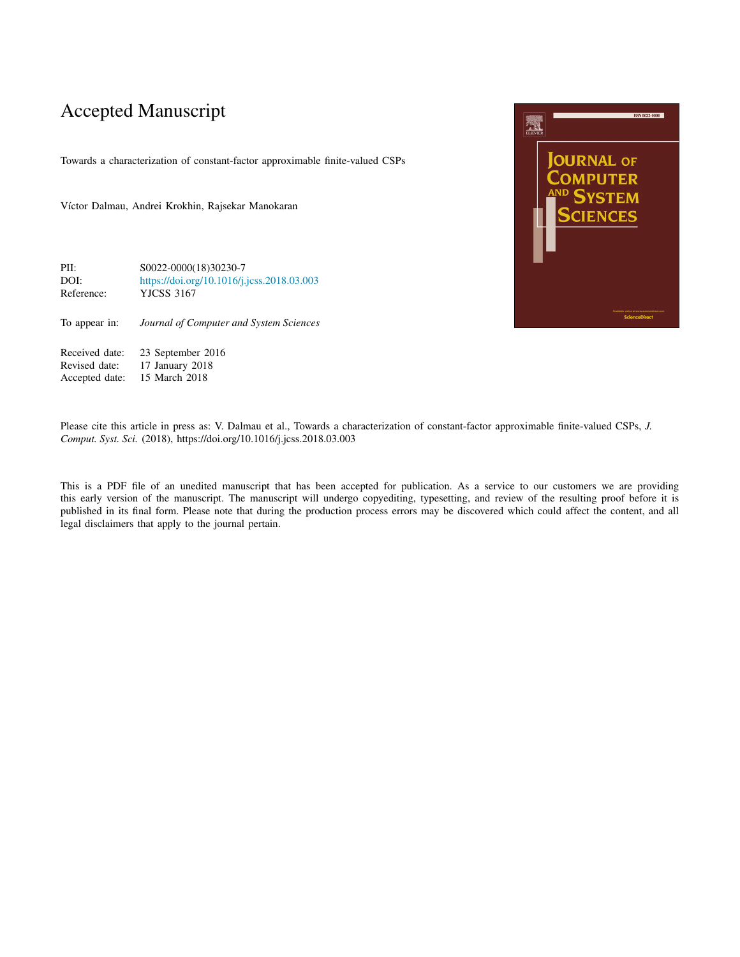# Accepted Manuscript

Towards a characterization of constant-factor approximable finite-valued CSPs

Víctor Dalmau, Andrei Krokhin, Rajsekar Manokaran

| PII:       | \$0022-0000(18)30230-7                     |
|------------|--------------------------------------------|
| DOI:       | https://doi.org/10.1016/j.jcss.2018.03.003 |
| Reference: | YJCSS 3167                                 |

To appear in: *Journal of Computer and System Sciences*

Received date: 23 September 2016<br>Revised date: 17 January 2018 Revised date: 17 January 2018<br>Accepted date: 15 March 2018 15 March 2018



Please cite this article in press as: V. Dalmau et al., Towards a characterization of constant-factor approximable finite-valued CSPs, *J. Comput. Syst. Sci.* (2018), https://doi.org/10.1016/j.jcss.2018.03.003

This is a PDF file of an unedited manuscript that has been accepted for publication. As a service to our customers we are providing this early version of the manuscript. The manuscript will undergo copyediting, typesetting, and review of the resulting proof before it is published in its final form. Please note that during the production process errors may be discovered which could affect the content, and all legal disclaimers that apply to the journal pertain.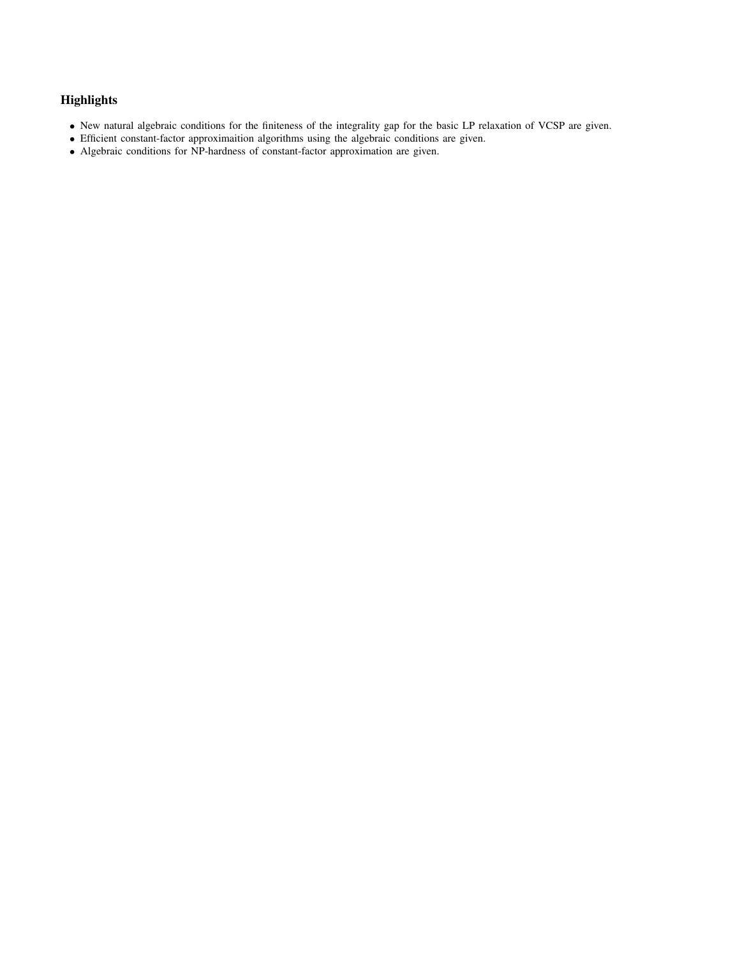## **Highlights**

- New natural algebraic conditions for the finiteness of the integrality gap for the basic LP relaxation of VCSP are given.
- Efficient constant-factor approximaition algorithms using the algebraic conditions are given.
- Algebraic conditions for NP-hardness of constant-factor approximation are given.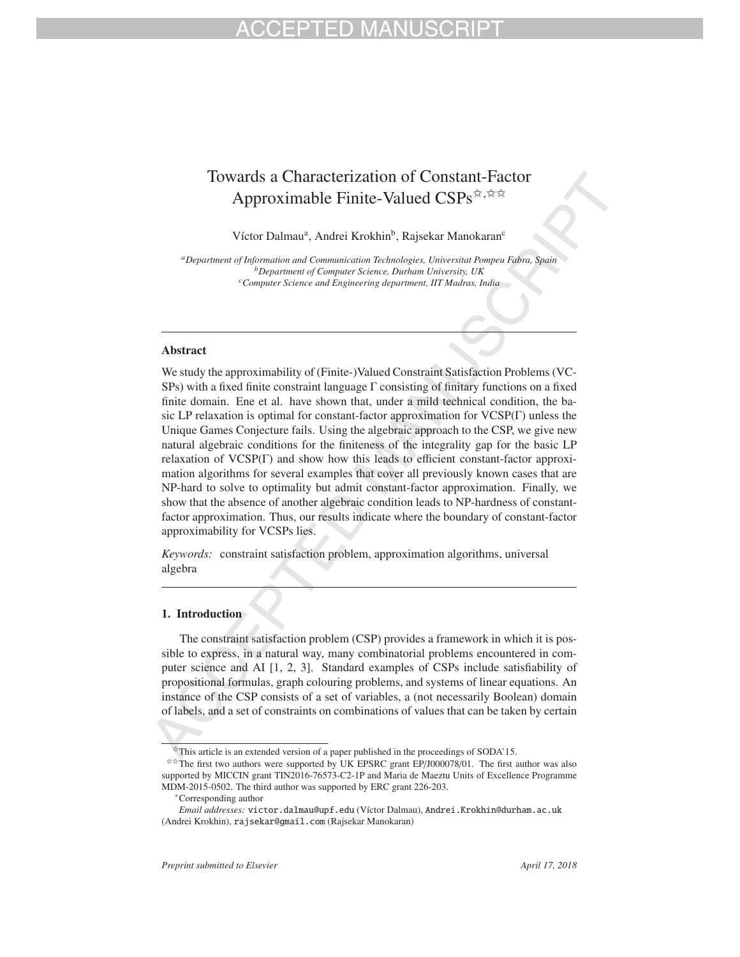# Towards a Characterization of Constant-Factor Approximable Finite-Valued CSPs<sup>☆,☆☆</sup>

Víctor Dalmau<sup>a</sup>, Andrei Krokhin<sup>b</sup>, Rajsekar Manokaran<sup>c</sup>

*aDepartment of Information and Communication Technologies, Universitat Pompeu Fabra, Spain bDepartment of Computer Science, Durham University, UK cComputer Science and Engineering department, IIT Madras, India*

### Abstract

We study the approximability of (Finite-)Valued Constraint Satisfaction Problems (VC-SPs) with a fixed finite constraint language Γ consisting of finitary functions on a fixed finite domain. Ene et al. have shown that, under a mild technical condition, the basic LP relaxation is optimal for constant-factor approximation for VCSP(Γ) unless the Unique Games Conjecture fails. Using the algebraic approach to the CSP, we give new natural algebraic conditions for the finiteness of the integrality gap for the basic LP relaxation of VCSP(Γ) and show how this leads to efficient constant-factor approximation algorithms for several examples that cover all previously known cases that are NP-hard to solve to optimality but admit constant-factor approximation. Finally, we show that the absence of another algebraic condition leads to NP-hardness of constantfactor approximation. Thus, our results indicate where the boundary of constant-factor approximability for VCSPs lies.

*Keywords:* constraint satisfaction problem, approximation algorithms, universal algebra

### 1. Introduction

The constraint satisfaction problem (CSP) provides a framework in which it is possible to express, in a natural way, many combinatorial problems encountered in computer science and AI [1, 2, 3]. Standard examples of CSPs include satisfiability of propositional formulas, graph colouring problems, and systems of linear equations. An instance of the CSP consists of a set of variables, a (not necessarily Boolean) domain of labels, and a set of constraints on combinations of values that can be taken by certain

 $\hat{\mathbf{x}}$ This article is an extended version of a paper published in the proceedings of SODA'15.<br> $\hat{\mathbf{x}}$  The first two authors were supported by UK EPSRC grant EP/J000078/01. The first author was also supported by MICCIN grant TIN2016-76573-C2-1P and Maria de Maeztu Units of Excellence Programme MDM-2015-0502. The third author was supported by ERC grant 226-203.

<sup>∗</sup>Corresponding author

*Email addresses:* victor.dalmau@upf.edu (V´ıctor Dalmau), Andrei.Krokhin@durham.ac.uk (Andrei Krokhin), rajsekar@gmail.com (Rajsekar Manokaran)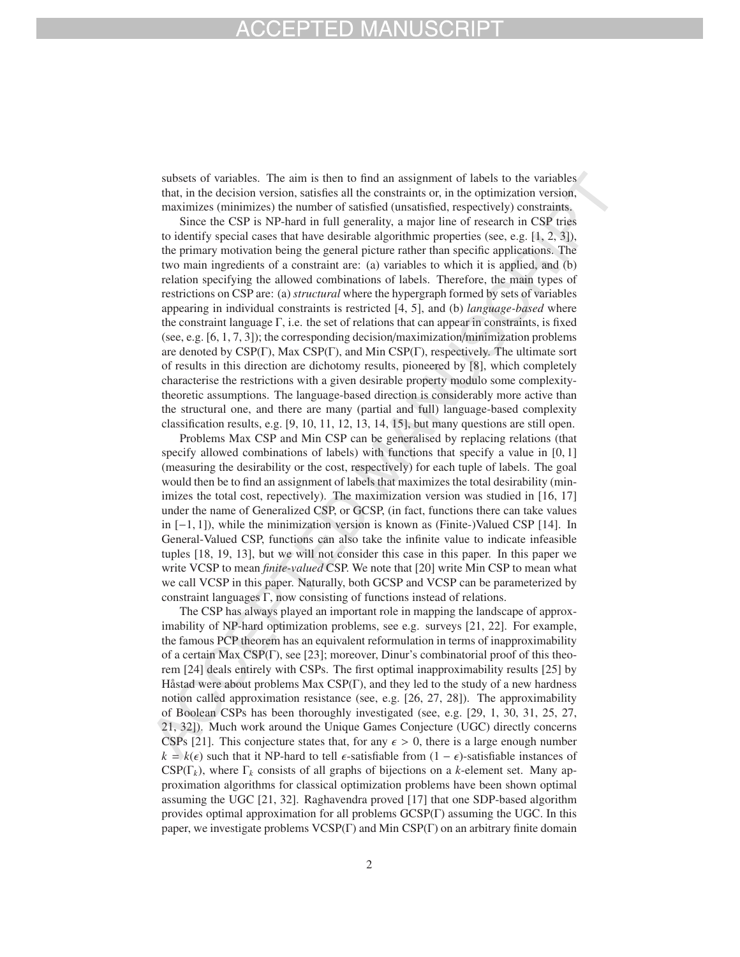# - P I F D MA

subsets of variables. The aim is then to find an assignment of labels to the variables that, in the decision version, satisfies all the constraints or, in the optimization version, maximizes (minimizes) the number of satisfied (unsatisfied, respectively) constraints.

Since the CSP is NP-hard in full generality, a major line of research in CSP tries to identify special cases that have desirable algorithmic properties (see, e.g.  $[1, 2, 3]$ ), the primary motivation being the general picture rather than specific applications. The two main ingredients of a constraint are: (a) variables to which it is applied, and (b) relation specifying the allowed combinations of labels. Therefore, the main types of restrictions on CSP are: (a) *structural* where the hypergraph formed by sets of variables appearing in individual constraints is restricted [4, 5], and (b) *language-based* where the constraint language Γ, i.e. the set of relations that can appear in constraints, is fixed (see, e.g.  $[6, 1, 7, 3]$ ); the corresponding decision/maximization/minimization problems are denoted by CSP(Γ), Max CSP(Γ), and Min CSP(Γ), respectively. The ultimate sort of results in this direction are dichotomy results, pioneered by [8], which completely characterise the restrictions with a given desirable property modulo some complexitytheoretic assumptions. The language-based direction is considerably more active than the structural one, and there are many (partial and full) language-based complexity classification results, e.g.  $[9, 10, 11, 12, 13, 14, 15]$ , but many questions are still open.

Problems Max CSP and Min CSP can be generalised by replacing relations (that specify allowed combinations of labels) with functions that specify a value in [0, 1] (measuring the desirability or the cost, respectively) for each tuple of labels. The goal would then be to find an assignment of labels that maximizes the total desirability (minimizes the total cost, repectively). The maximization version was studied in [16, 17] under the name of Generalized CSP, or GCSP, (in fact, functions there can take values in [−1, 1]), while the minimization version is known as (Finite-)Valued CSP [14]. In General-Valued CSP, functions can also take the infinite value to indicate infeasible tuples [18, 19, 13], but we will not consider this case in this paper. In this paper we write VCSP to mean *finite-valued* CSP. We note that [20] write Min CSP to mean what we call VCSP in this paper. Naturally, both GCSP and VCSP can be parameterized by constraint languages Γ, now consisting of functions instead of relations.

The CSP has always played an important role in mapping the landscape of approximability of NP-hard optimization problems, see e.g. surveys [21, 22]. For example, the famous PCP theorem has an equivalent reformulation in terms of inapproximability of a certain Max CSP(Γ), see [23]; moreover, Dinur's combinatorial proof of this theorem [24] deals entirely with CSPs. The first optimal inapproximability results [25] by Håstad were about problems Max CSP(Γ), and they led to the study of a new hardness notion called approximation resistance (see, e.g. [26, 27, 28]). The approximability of Boolean CSPs has been thoroughly investigated (see, e.g. [29, 1, 30, 31, 25, 27, 21, 32]). Much work around the Unique Games Conjecture (UGC) directly concerns CSPs [21]. This conjecture states that, for any  $\epsilon > 0$ , there is a large enough number  $k = k(\epsilon)$  such that it NP-hard to tell  $\epsilon$ -satisfiable from  $(1 - \epsilon)$ -satisfiable instances of  $CSP(\Gamma_k)$ , where  $\Gamma_k$  consists of all graphs of bijections on a *k*-element set. Many approximation algorithms for classical optimization problems have been shown optimal assuming the UGC [21, 32]. Raghavendra proved [17] that one SDP-based algorithm provides optimal approximation for all problems GCSP(Γ) assuming the UGC. In this paper, we investigate problems VCSP(Γ) and Min CSP(Γ) on an arbitrary finite domain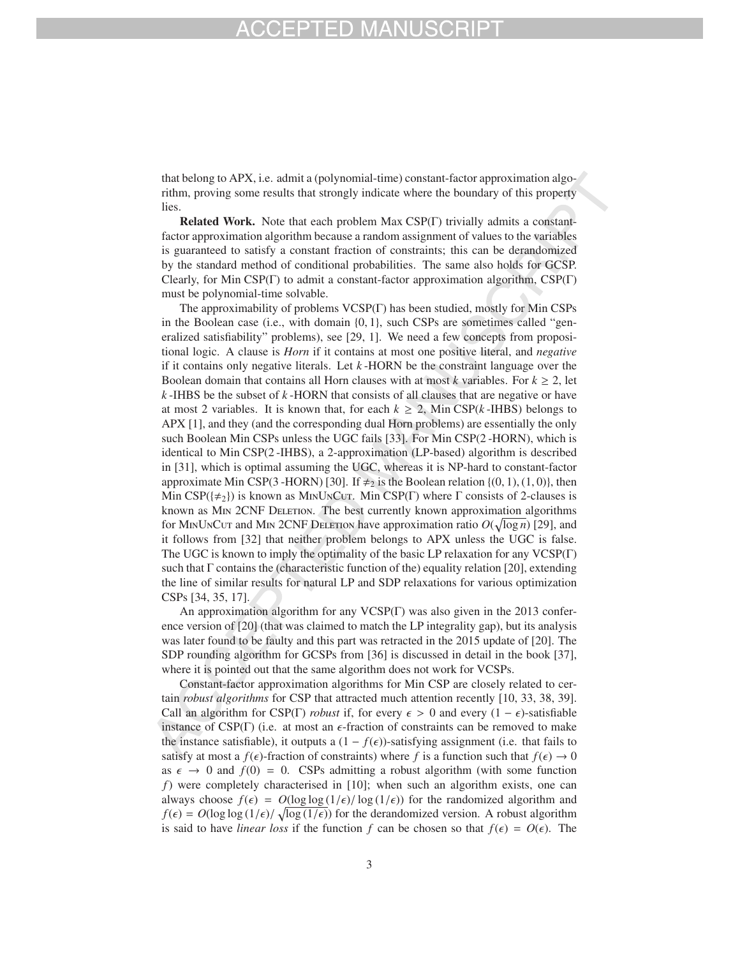# HD M

that belong to APX, i.e. admit a (polynomial-time) constant-factor approximation algorithm, proving some results that strongly indicate where the boundary of this property lies.

Related Work. Note that each problem Max CSP(Γ) trivially admits a constantfactor approximation algorithm because a random assignment of values to the variables is guaranteed to satisfy a constant fraction of constraints; this can be derandomized by the standard method of conditional probabilities. The same also holds for GCSP. Clearly, for Min CSP(Γ) to admit a constant-factor approximation algorithm,  $CSP(\Gamma)$ must be polynomial-time solvable.

The approximability of problems VCSP(Γ) has been studied, mostly for Min CSPs in the Boolean case (i.e., with domain {0, 1}, such CSPs are sometimes called "generalized satisfiability" problems), see [29, 1]. We need a few concepts from propositional logic. A clause is *Horn* if it contains at most one positive literal, and *negative* if it contains only negative literals. Let *k* -HORN be the constraint language over the Boolean domain that contains all Horn clauses with at most *k* variables. For  $k \geq 2$ , let *k* -IHBS be the subset of *k* -HORN that consists of all clauses that are negative or have at most 2 variables. It is known that, for each  $k \ge 2$ , Min CSP( $k$ -IHBS) belongs to APX [1], and they (and the corresponding dual Horn problems) are essentially the only such Boolean Min CSPs unless the UGC fails [33]. For Min CSP(2 -HORN), which is identical to Min CSP(2 -IHBS), a 2-approximation (LP-based) algorithm is described in [31], which is optimal assuming the UGC, whereas it is NP-hard to constant-factor approximate Min CSP(3 -HORN) [30]. If  $\neq_2$  is the Boolean relation {(0, 1), (1, 0)}, then Min CSP( $\{\neq_2\}$ ) is known as M<sub>IN</sub>U<sub>N</sub>C<sub>UT</sub>. Min CSP( $\Gamma$ ) where  $\Gamma$  consists of 2-clauses is known as MIN 2CNF DELETION. The best currently known approximation algorithms for M<sub>IN</sub>U<sub>N</sub>C<sub>UT</sub> and M<sub>IN</sub> 2CNF DELETION have approximation ratio  $O(\sqrt{\log n})$  [29], and it follows from [32] that neither problem belongs to APX unless the UGC is false. The UGC is known to imply the optimality of the basic LP relaxation for any VCSP(Γ) such that Γ contains the (characteristic function of the) equality relation [20], extending the line of similar results for natural LP and SDP relaxations for various optimization CSPs [34, 35, 17].

An approximation algorithm for any VCSP(Γ) was also given in the 2013 conference version of [20] (that was claimed to match the LP integrality gap), but its analysis was later found to be faulty and this part was retracted in the 2015 update of [20]. The SDP rounding algorithm for GCSPs from [36] is discussed in detail in the book [37], where it is pointed out that the same algorithm does not work for VCSPs.

Constant-factor approximation algorithms for Min CSP are closely related to certain *robust algorithms* for CSP that attracted much attention recently [10, 33, 38, 39]. Call an algorithm for CSP(Γ) *robust* if, for every  $\epsilon > 0$  and every  $(1 - \epsilon)$ -satisfiable instance of CSP( $\Gamma$ ) (i.e. at most an  $\epsilon$ -fraction of constraints can be removed to make the instance satisfiable), it outputs a  $(1 - f(\epsilon))$ -satisfying assignment (i.e. that fails to satisfy at most a  $f(\epsilon)$ -fraction of constraints) where *f* is a function such that  $f(\epsilon) \to 0$ as  $\epsilon \to 0$  and  $f(0) = 0$ . CSPs admitting a robust algorithm (with some function *f*) were completely characterised in [10]; when such an algorithm exists, one can always choose  $f(\epsilon) = O(\log \log (1/\epsilon) / \log (1/\epsilon))$  for the randomized algorithm and  $f(\epsilon) = O(\log \log (1/\epsilon)) \sqrt{\log (1/\epsilon)}$  for the derandomized version. A robust algorithm is said to have *linear loss* if the function f can be chosen so that  $f(\epsilon) = O(\epsilon)$ . The

3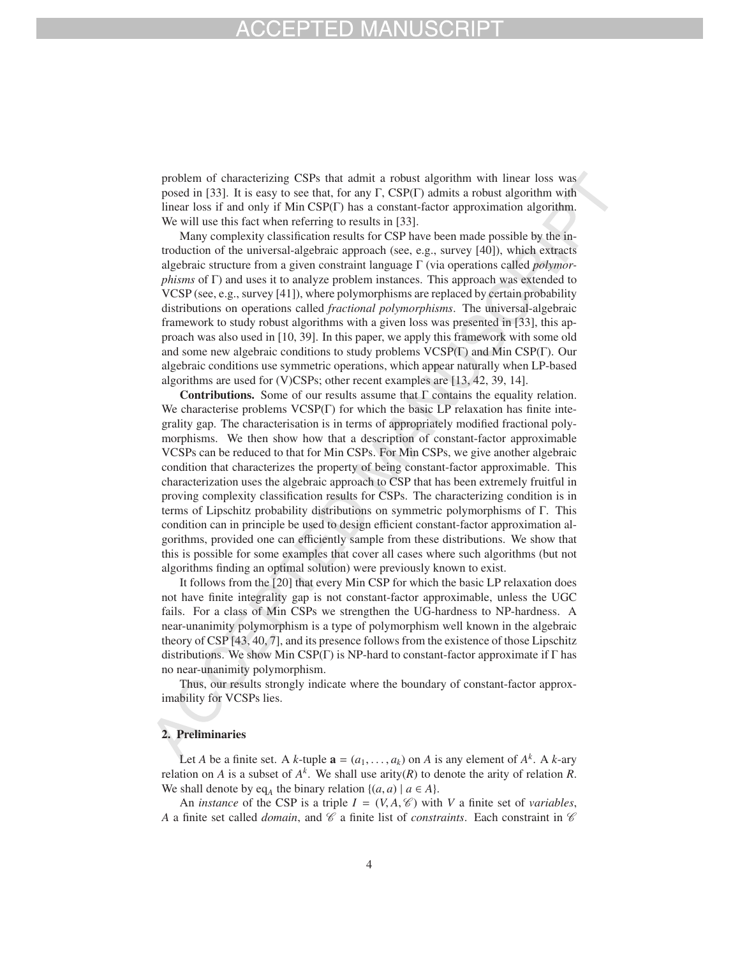problem of characterizing CSPs that admit a robust algorithm with linear loss was posed in [33]. It is easy to see that, for any  $\Gamma$ , CSP( $\Gamma$ ) admits a robust algorithm with linear loss if and only if Min CSP(Γ) has a constant-factor approximation algorithm. We will use this fact when referring to results in [33].

Many complexity classification results for CSP have been made possible by the introduction of the universal-algebraic approach (see, e.g., survey [40]), which extracts algebraic structure from a given constraint language Γ (via operations called *polymorphisms* of Γ) and uses it to analyze problem instances. This approach was extended to VCSP (see, e.g., survey [41]), where polymorphisms are replaced by certain probability distributions on operations called *fractional polymorphisms*. The universal-algebraic framework to study robust algorithms with a given loss was presented in [33], this approach was also used in [10, 39]. In this paper, we apply this framework with some old and some new algebraic conditions to study problems VCSP(Γ) and Min CSP(Γ). Our algebraic conditions use symmetric operations, which appear naturally when LP-based algorithms are used for (V)CSPs; other recent examples are [13, 42, 39, 14].

Contributions. Some of our results assume that  $\Gamma$  contains the equality relation. We characterise problems  $VCSP(\Gamma)$  for which the basic LP relaxation has finite integrality gap. The characterisation is in terms of appropriately modified fractional polymorphisms. We then show how that a description of constant-factor approximable VCSPs can be reduced to that for Min CSPs. For Min CSPs, we give another algebraic condition that characterizes the property of being constant-factor approximable. This characterization uses the algebraic approach to CSP that has been extremely fruitful in proving complexity classification results for CSPs. The characterizing condition is in terms of Lipschitz probability distributions on symmetric polymorphisms of Γ. This condition can in principle be used to design efficient constant-factor approximation algorithms, provided one can efficiently sample from these distributions. We show that this is possible for some examples that cover all cases where such algorithms (but not algorithms finding an optimal solution) were previously known to exist.

It follows from the [20] that every Min CSP for which the basic LP relaxation does not have finite integrality gap is not constant-factor approximable, unless the UGC fails. For a class of Min CSPs we strengthen the UG-hardness to NP-hardness. A near-unanimity polymorphism is a type of polymorphism well known in the algebraic theory of CSP [43, 40, 7], and its presence follows from the existence of those Lipschitz distributions. We show Min  $CSP(\Gamma)$  is NP-hard to constant-factor approximate if  $\Gamma$  has no near-unanimity polymorphism.

Thus, our results strongly indicate where the boundary of constant-factor approximability for VCSPs lies.

### 2. Preliminaries

Let *A* be a finite set. A *k*-tuple  $\mathbf{a} = (a_1, \ldots, a_k)$  on *A* is any element of  $A^k$ . A *k*-ary relation on *A* is a subset of  $A^k$ . We shall use arity(*R*) to denote the arity of relation *R*. We shall denote by eq<sub>A</sub> the binary relation  $\{(a, a) | a \in A\}$ .

An *instance* of the CSP is a triple  $I = (V, A, \mathcal{C})$  with V a finite set of *variables*, *A* a finite set called *domain*, and  $\mathscr C$  a finite list of *constraints*. Each constraint in  $\mathscr C$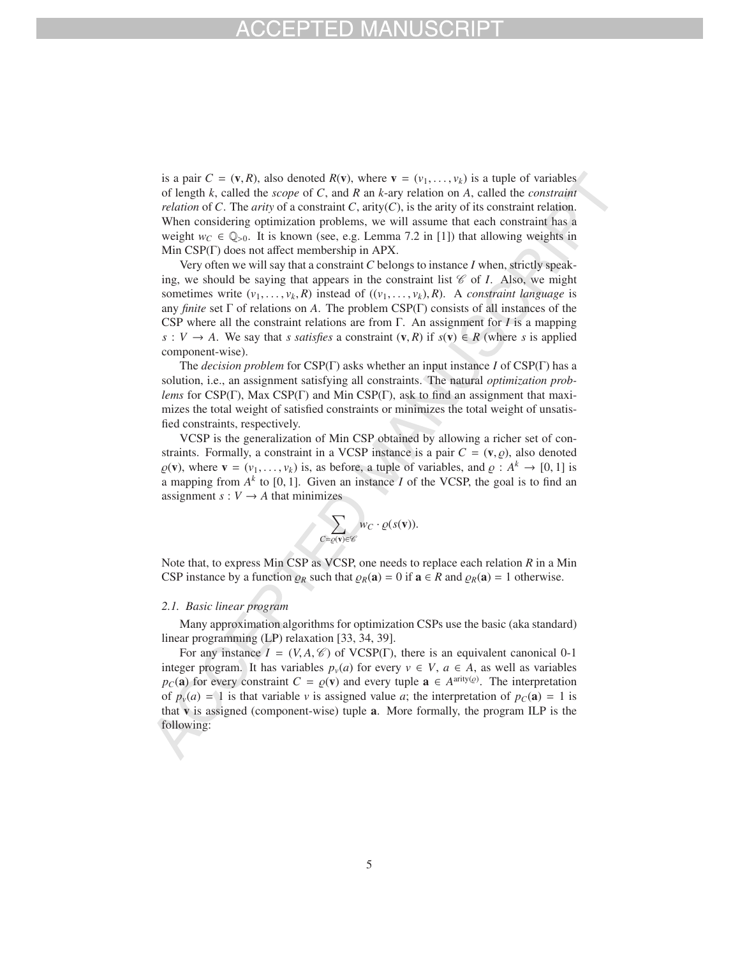is a pair  $C = (v, R)$ , also denoted  $R(v)$ , where  $v = (v_1, \ldots, v_k)$  is a tuple of variables of length *k*, called the *scope* of *C*, and *R* an *k*-ary relation on *A*, called the *constraint relation* of *C*. The *arity* of a constraint *C*, arity(*C*), is the arity of its constraint relation. When considering optimization problems, we will assume that each constraint has a weight  $w_C \in \mathbb{Q}_{>0}$ . It is known (see, e.g. Lemma 7.2 in [1]) that allowing weights in Min CSP(Γ) does not affect membership in APX.

Very often we will say that a constraint *C* belongs to instance *I* when, strictly speaking, we should be saying that appears in the constraint list  $\mathscr C$  of *I*. Also, we might sometimes write  $(v_1, \ldots, v_k, R)$  instead of  $((v_1, \ldots, v_k), R)$ . A *constraint language* is any *finite* set Γ of relations on *A*. The problem CSP(Γ) consists of all instances of the CSP where all the constraint relations are from Γ. An assignment for *I* is a mapping *s* : *V* → *A*. We say that *s satisfies* a constraint  $(v, R)$  if  $s(v) \text{ ∈ } R$  (where *s* is applied component-wise).

The *decision problem* for CSP(Γ) asks whether an input instance *I* of CSP(Γ) has a solution, i.e., an assignment satisfying all constraints. The natural *optimization problems* for CSP(Γ), Max CSP(Γ) and Min CSP(Γ), ask to find an assignment that maximizes the total weight of satisfied constraints or minimizes the total weight of unsatisfied constraints, respectively.

VCSP is the generalization of Min CSP obtained by allowing a richer set of constraints. Formally, a constraint in a VCSP instance is a pair  $C = (v, \rho)$ , also denoted  $\varrho(\mathbf{v})$ , where  $\mathbf{v} = (v_1, \dots, v_k)$  is, as before, a tuple of variables, and  $\varrho : A^k \to [0, 1]$  is a mapping from  $A^k$  to [0, 1]. Given an instance *I* of the VCSP, the goal is to find an assignment  $s: V \rightarrow A$  that minimizes

$$
\sum_{C=\varrho(\mathbf{v})\in\mathscr{C}}w_C\cdot\varrho(s(\mathbf{v})).
$$

Note that, to express Min CSP as VCSP, one needs to replace each relation *R* in a Min CSP instance by a function  $\rho_R$  such that  $\rho_R(\mathbf{a}) = 0$  if  $\mathbf{a} \in R$  and  $\rho_R(\mathbf{a}) = 1$  otherwise.

### *2.1. Basic linear program*

Many approximation algorithms for optimization CSPs use the basic (aka standard) linear programming (LP) relaxation [33, 34, 39].

For any instance  $I = (V, A, \mathcal{C})$  of VCSP(Γ), there is an equivalent canonical 0-1 integer program. It has variables  $p_v(a)$  for every  $v \in V$ ,  $a \in A$ , as well as variables  $p_C(\mathbf{a})$  for every constraint  $C = \varrho(\mathbf{v})$  and every tuple  $\mathbf{a} \in A^{\text{arity}(\varrho)}$ . The interpretation of  $p_v(a) = 1$  is that variable *v* is assigned value *a*; the interpretation of  $p_c(a) = 1$  is that v is assigned (component-wise) tuple a. More formally, the program ILP is the following: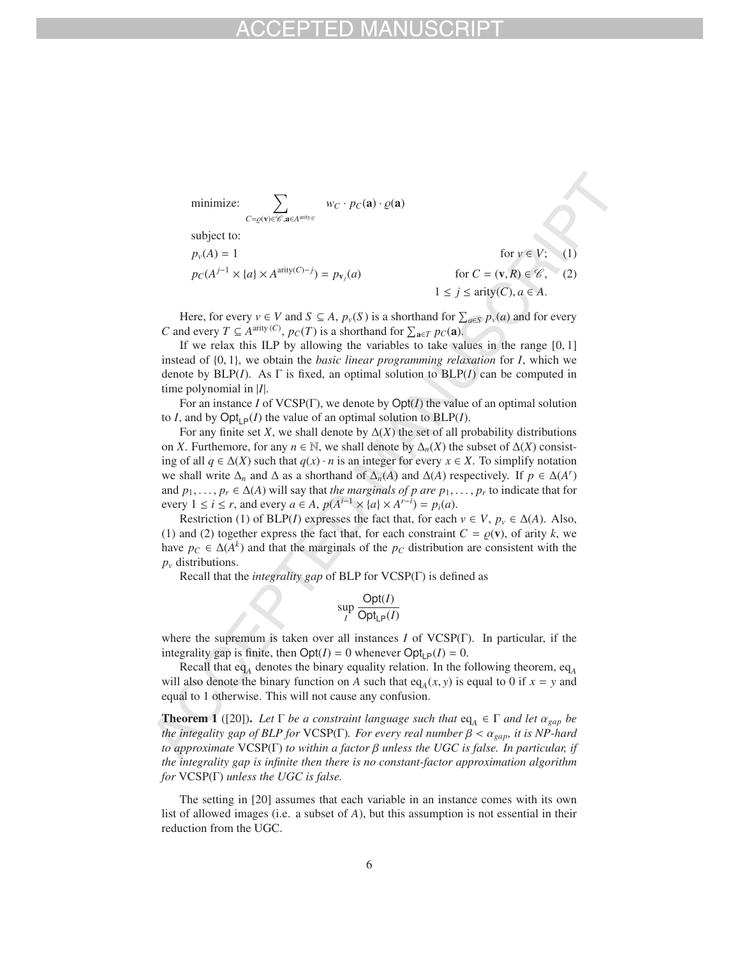minimize: 
$$
\sum_{C = \varrho(\mathbf{v}) \in \mathscr{C}, \mathbf{a} \in A^{\text{arity}}\varrho} w_C \cdot p_C(\mathbf{a}) \cdot \varrho(\mathbf{a})
$$
  
subject to:  

$$
p_{\nu}(A) = 1 \qquad \text{for } \nu \in V; \quad (1)
$$

$$
p_C(A^{j-1} \times \{a\} \times A^{\text{arity}(C)-j}) = p_{\mathbf{v}_j}(a) \qquad \text{for } C = (\mathbf{v}, R) \in \mathscr{C}, \quad (2)
$$

$$
1 \le j \le \text{arity}(C), a \in A.
$$

Here, for every  $v \in V$  and  $S \subseteq A$ ,  $p_v(S)$  is a shorthand for  $\sum_{a \in S} p_v(a)$  and for every *C* and every  $T \subseteq A^{\text{arity}}(C)$ ,  $p_C(T)$  is a shorthand for  $\sum_{\mathbf{a} \in T} p_C(\mathbf{a})$ .

If we relax this ILP by allowing the variables to take values in the range  $[0, 1]$ instead of {0, 1}, we obtain the *basic linear programming relaxation* for *I*, which we denote by BLP(*I*). As Γ is fixed, an optimal solution to BLP(*I*) can be computed in time polynomial in |*I*|.

For an instance *I* of VCSP(Γ), we denote by Opt(*I*) the value of an optimal solution to *I*, and by  $Opt_{\mathsf{LP}}(I)$  the value of an optimal solution to  $BLP(I)$ .

For any finite set *X*, we shall denote by  $\Delta(X)$  the set of all probability distributions on *X*. Furthemore, for any  $n \in \mathbb{N}$ , we shall denote by  $\Delta_n(X)$  the subset of  $\Delta(X)$  consisting of all  $q \in \Delta(X)$  such that  $q(x) \cdot n$  is an integer for every  $x \in X$ . To simplify notation we shall write  $\Delta_n$  and  $\Delta$  as a shorthand of  $\Delta_n(A)$  and  $\Delta(A)$  respectively. If  $p \in \Delta(A^r)$ and  $p_1, \ldots, p_r \in \Delta(A)$  will say that *the marginals of p are*  $p_1, \ldots, p_r$  to indicate that for every  $1 \le i \le r$ , and every  $a \in A$ ,  $p(A^{i-1} \times \{a\} \times A^{r-i}) = p_i(a)$ .

Restriction (1) of BLP(*I*) expresses the fact that, for each  $v \in V$ ,  $p_v \in \Delta(A)$ . Also, (1) and (2) together express the fact that, for each constraint  $C = \rho(\mathbf{v})$ , of arity k, we have  $p_C \in \Delta(A^k)$  and that the marginals of the  $p_C$  distribution are consistent with the  $p<sub>v</sub>$  distributions.

Recall that the *integrality gap* of BLP for VCSP(Γ) is defined as

$$
\sup_{I} \frac{\text{Opt}(I)}{\text{Opt}_{\text{LP}}(I)}
$$

where the supremum is taken over all instances *I* of VCSP(Γ). In particular, if the integrality gap is finite, then  $Opt(I) = 0$  whenever  $Opt_{LP}(I) = 0$ .

Recall that eq<sub>A</sub> denotes the binary equality relation. In the following theorem, eq<sub>A</sub> will also denote the binary function on *A* such that eq<sub>A</sub>(*x*, *y*) is equal to 0 if  $x = y$  and equal to 1 otherwise. This will not cause any confusion.

**Theorem 1** ([20]). Let  $\Gamma$  *be a constraint language such that*  $eq_A \in \Gamma$  *and let*  $\alpha_{gap}$  *be the integality gap of BLP for* VCSP(Γ). *For every real number*  $\beta < \alpha_{\text{gap}}$ *, it is NP-hard to approximate* VCSP(Γ) *to within a factor* β *unless the UGC is false. In particular, if the integrality gap is infinite then there is no constant-factor approximation algorithm for* VCSP(Γ) *unless the UGC is false.*

The setting in [20] assumes that each variable in an instance comes with its own list of allowed images (i.e. a subset of *A*), but this assumption is not essential in their reduction from the UGC.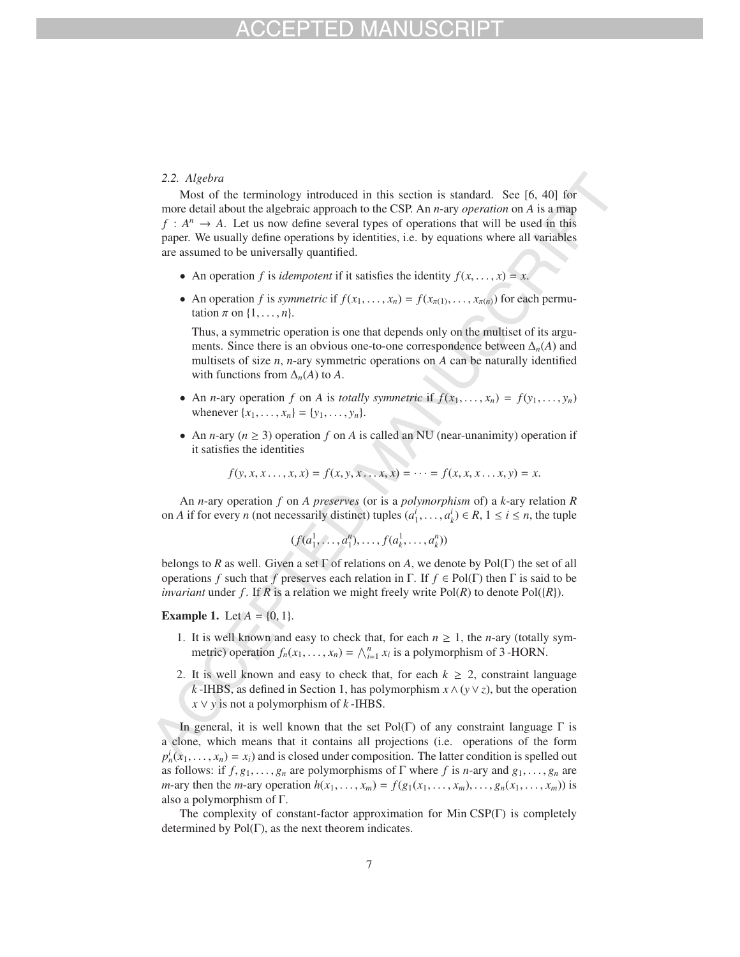### *2.2. Algebra*

Most of the terminology introduced in this section is standard. See [6, 40] for more detail about the algebraic approach to the CSP. An *n*-ary *operation* on *A* is a map  $f: A^n \to A$ . Let us now define several types of operations that will be used in this paper. We usually define operations by identities, i.e. by equations where all variables are assumed to be universally quantified.

- An operation *f* is *idempotent* if it satisfies the identity  $f(x, \ldots, x) = x$ .
- An operation *f* is *symmetric* if  $f(x_1, \ldots, x_n) = f(x_{\pi(1)}, \ldots, x_{\pi(n)})$  for each permutation  $\pi$  on  $\{1, \ldots, n\}$ .

Thus, a symmetric operation is one that depends only on the multiset of its arguments. Since there is an obvious one-to-one correspondence between  $\Delta_n(A)$  and multisets of size *n*, *n*-ary symmetric operations on *A* can be naturally identified with functions from  $\Delta_n(A)$  to A.

- An *n*-ary operation *f* on *A* is *totally symmetric* if  $f(x_1,...,x_n) = f(y_1,..., y_n)$ whenever  $\{x_1, ..., x_n\} = \{y_1, ..., y_n\}.$
- An *n*-ary ( $n \geq 3$ ) operation *f* on *A* is called an NU (near-unanimity) operation if it satisfies the identities

$$
f(y, x, x..., x, x) = f(x, y, x... x, x) = \dots = f(x, x, x... x, y) = x.
$$

An *n*-ary operation *f* on *A preserves* (or is a *polymorphism* of) a *k*-ary relation *R* on *A* if for every *n* (not necessarily distinct) tuples  $(a_1^i, \ldots, a_k^i) \in R$ ,  $1 \le i \le n$ , the tuple

$$
(f(a_1^1, \ldots, a_1^n), \ldots, f(a_k^1, \ldots, a_k^n))
$$

belongs to *R* as well. Given a set Γ of relations on *A*, we denote by Pol(Γ) the set of all operations *f* such that *f* preserves each relation in Γ. If  $f \in Pol(\Gamma)$  then Γ is said to be *invariant* under f. If R is a relation we might freely write  $Pol(R)$  to denote  $Pol({R})$ .

**Example 1.** Let  $A = \{0, 1\}$ .

- 1. It is well known and easy to check that, for each  $n \geq 1$ , the *n*-ary (totally symmetric) operation  $f_n(x_1,...,x_n) = \bigwedge_{i=1}^n x_i$  is a polymorphism of 3-HORN.
- 2. It is well known and easy to check that, for each  $k \geq 2$ , constraint language *k* -IHBS, as defined in Section 1, has polymorphism *x* ∧(*y*∨*z*), but the operation  $x \vee y$  is not a polymorphism of *k* -IHBS.

In general, it is well known that the set Pol(Γ) of any constraint language  $\Gamma$  is a clone, which means that it contains all projections (i.e. operations of the form  $p_n^i(x_1,...,x_n) = x_i$  and is closed under composition. The latter condition is spelled out as follows: if  $f, g_1, \ldots, g_n$  are polymorphisms of  $\Gamma$  where  $f$  is *n*-ary and  $g_1, \ldots, g_n$  are *m*-ary then the *m*-ary operation  $h(x_1, \ldots, x_m) = f(g_1(x_1, \ldots, x_m), \ldots, g_n(x_1, \ldots, x_m))$  is also a polymorphism of Γ.

The complexity of constant-factor approximation for Min CSP(Γ) is completely determined by  $Pol(\Gamma)$ , as the next theorem indicates.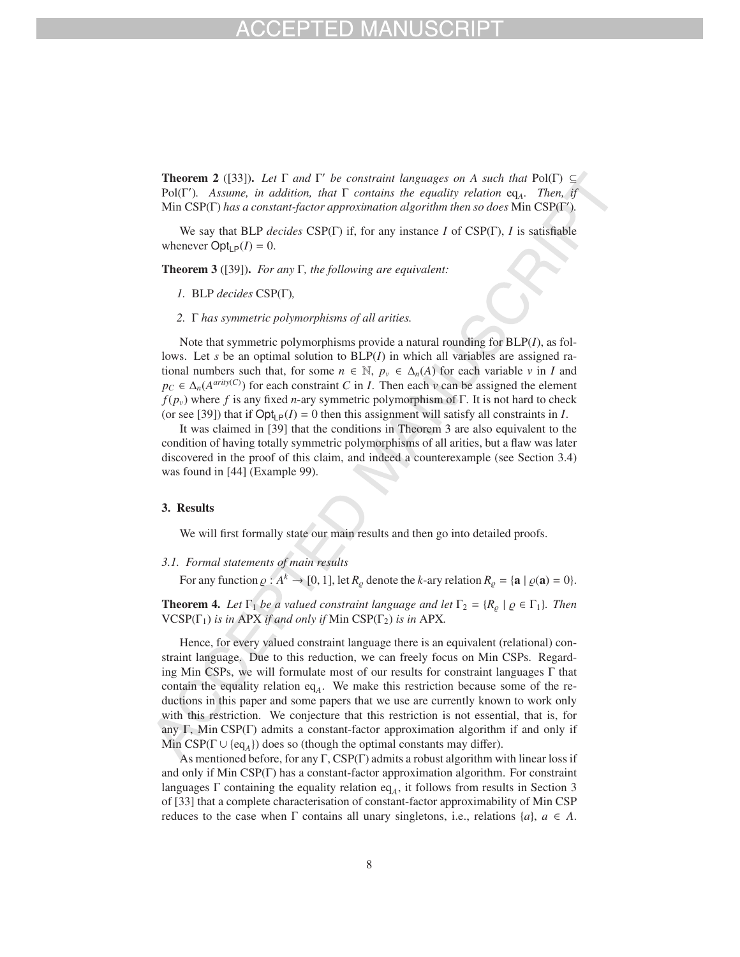**Theorem 2** ([33]). *Let*  $\Gamma$  *and*  $\Gamma'$  *be constraint languages on A such that*  $Pol(\Gamma) \subseteq$ Pol(Γ )*. Assume, in addition, that* Γ *contains the equality relation* eq*A. Then, if* Min CSP(Γ) *has a constant-factor approximation algorithm then so does* Min CSP(Γ )*.*

We say that BLP *decides* CSP(Γ) if, for any instance *I* of CSP(Γ), *I* is satisfiable whenever  $\text{Opt}_{\text{LP}}(I) = 0$ .

Theorem 3 ([39]). *For any* Γ*, the following are equivalent:*

- *1.* BLP *decides* CSP(Γ)*,*
- *2.* Γ *has symmetric polymorphisms of all arities.*

Note that symmetric polymorphisms provide a natural rounding for BLP(*I*), as follows. Let *s* be an optimal solution to BLP(*I*) in which all variables are assigned rational numbers such that, for some  $n \in \mathbb{N}$ ,  $p_{\nu} \in \Delta_n(A)$  for each variable  $\nu$  in *I* and  $p_C \in \Delta_n(A^{arity(C)})$  for each constraint *C* in *I*. Then each *v* can be assigned the element  $f(p_v)$  where *f* is any fixed *n*-ary symmetric polymorphism of Γ. It is not hard to check (or see [39]) that if  $\text{Opt}_{\mathbf{P}}(I) = 0$  then this assignment will satisfy all constraints in *I*.

It was claimed in [39] that the conditions in Theorem 3 are also equivalent to the condition of having totally symmetric polymorphisms of all arities, but a flaw was later discovered in the proof of this claim, and indeed a counterexample (see Section 3.4) was found in [44] (Example 99).

### 3. Results

We will first formally state our main results and then go into detailed proofs.

### *3.1. Formal statements of main results*

For any function  $\rho : A^k \to [0, 1]$ , let  $R_\rho$  denote the *k*-ary relation  $R_\rho = {\mathbf{a} \mid \rho(\mathbf{a}) = 0}$ .

**Theorem 4.** Let  $\Gamma_1$  be a valued constraint language and let  $\Gamma_2 = \{R_o \mid \varrho \in \Gamma_1\}$ . Then  $VCSP(\Gamma_1)$  *is in APX if and only if* Min  $CSP(\Gamma_2)$  *is in APX*.

Hence, for every valued constraint language there is an equivalent (relational) constraint language. Due to this reduction, we can freely focus on Min CSPs. Regarding Min CSPs, we will formulate most of our results for constraint languages  $\Gamma$  that contain the equality relation eq<sub>A</sub>. We make this restriction because some of the reductions in this paper and some papers that we use are currently known to work only with this restriction. We conjecture that this restriction is not essential, that is, for any Γ, Min CSP(Γ) admits a constant-factor approximation algorithm if and only if Min CSP( $\Gamma \cup \{eq_A\}$ ) does so (though the optimal constants may differ).

As mentioned before, for any  $\Gamma$ , CSP( $\Gamma$ ) admits a robust algorithm with linear loss if and only if Min CSP(Γ) has a constant-factor approximation algorithm. For constraint languages  $\Gamma$  containing the equality relation eq<sub>A</sub>, it follows from results in Section 3 of [33] that a complete characterisation of constant-factor approximability of Min CSP reduces to the case when  $\Gamma$  contains all unary singletons, i.e., relations  $\{a\}$ ,  $a \in A$ .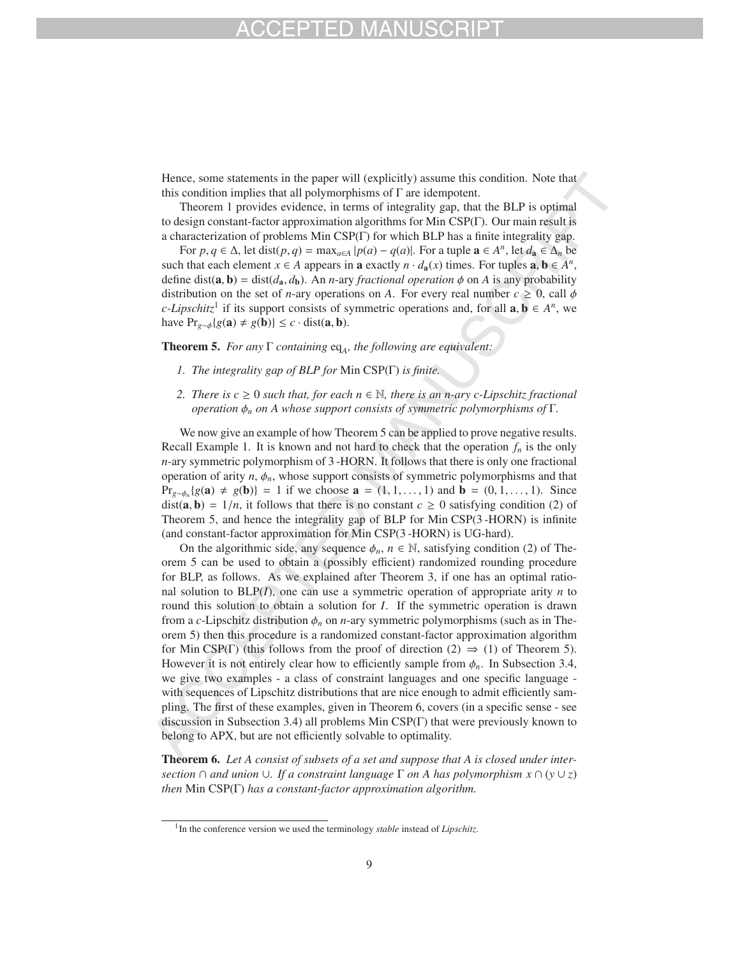Hence, some statements in the paper will (explicitly) assume this condition. Note that this condition implies that all polymorphisms of Γ are idempotent.

Theorem 1 provides evidence, in terms of integrality gap, that the BLP is optimal to design constant-factor approximation algorithms for Min CSP(Γ). Our main result is a characterization of problems Min CSP(Γ) for which BLP has a finite integrality gap.

For  $p, q \in \Delta$ , let dist $(p, q) = \max_{a \in A} |p(a) - q(a)|$ . For a tuple  $\mathbf{a} \in A^n$ , let  $d_{\mathbf{a}} \in \Delta_n$  be such that each element  $x \in A$  appears in **a** exactly  $n \cdot d_a(x)$  times. For tuples  $a, b \in A^n$ , define dist( $\bf{a}, \bf{b}$ ) = dist( $d_{\bf{a}}, d_{\bf{b}}$ ). An *n*-ary *fractional operation*  $\phi$  on *A* is any probability distribution on the set of *n*-ary operations on *A*. For every real number  $c \ge 0$ , call  $\phi$ *c*-Lipschitz<sup>1</sup> if its support consists of symmetric operations and, for all  $\mathbf{a}, \mathbf{b} \in A^n$ , we have  $Pr_{g \sim \phi}\{g(\mathbf{a}) \neq g(\mathbf{b})\} \leq c \cdot \text{dist}(\mathbf{a}, \mathbf{b}).$ 

Theorem 5. *For any* Γ *containing* eq<sub>A</sub>, the following are equivalent:

- *1. The integrality gap of BLP for* Min CSP(Γ) *is finite.*
- *2. There is c* ≥ 0 *such that, for each n* ∈  $\mathbb N$ *, there is an n-ary c-Lipschitz fractional operation* φ*<sup>n</sup> on A whose support consists of symmetric polymorphisms of* Γ*.*

We now give an example of how Theorem 5 can be applied to prove negative results. Recall Example 1. It is known and not hard to check that the operation  $f_n$  is the only *n*-ary symmetric polymorphism of 3 -HORN. It follows that there is only one fractional operation of arity  $n$ ,  $\phi_n$ , whose support consists of symmetric polymorphisms and that Pr<sub>*g*∼ $\phi_n$ </sub>{*g*(**a**) ≠ *g*(**b**)} = 1 if we choose **a** = (1, 1, ..., 1) and **b** = (0, 1, ..., 1). Since dist(**a**, **b**) =  $1/n$ , it follows that there is no constant  $c \ge 0$  satisfying condition (2) of Theorem 5, and hence the integrality gap of BLP for Min CSP(3 -HORN) is infinite (and constant-factor approximation for Min CSP(3 -HORN) is UG-hard).

On the algorithmic side, any sequence  $\phi_n$ ,  $n \in \mathbb{N}$ , satisfying condition (2) of Theorem 5 can be used to obtain a (possibly efficient) randomized rounding procedure for BLP, as follows. As we explained after Theorem 3, if one has an optimal rational solution to BLP(*I*), one can use a symmetric operation of appropriate arity *n* to round this solution to obtain a solution for *I*. If the symmetric operation is drawn from a *c*-Lipschitz distribution φ*<sup>n</sup>* on *n*-ary symmetric polymorphisms (such as in Theorem 5) then this procedure is a randomized constant-factor approximation algorithm for Min CSP(Γ) (this follows from the proof of direction (2)  $\Rightarrow$  (1) of Theorem 5). However it is not entirely clear how to efficiently sample from  $\phi_n$ . In Subsection 3.4, we give two examples - a class of constraint languages and one specific language with sequences of Lipschitz distributions that are nice enough to admit efficiently sampling. The first of these examples, given in Theorem 6, covers (in a specific sense - see discussion in Subsection 3.4) all problems Min CSP(Γ) that were previously known to belong to APX, but are not efficiently solvable to optimality.

Theorem 6. *Let A consist of subsets of a set and suppose that A is closed under intersection* ∩ *and union* ∪*. If a constraint language* Γ *on A has polymorphism x* ∩ (*y* ∪ *z*) *then* Min CSP(Γ) *has a constant-factor approximation algorithm.*

<sup>&</sup>lt;sup>1</sup>In the conference version we used the terminology *stable* instead of *Lipschitz*.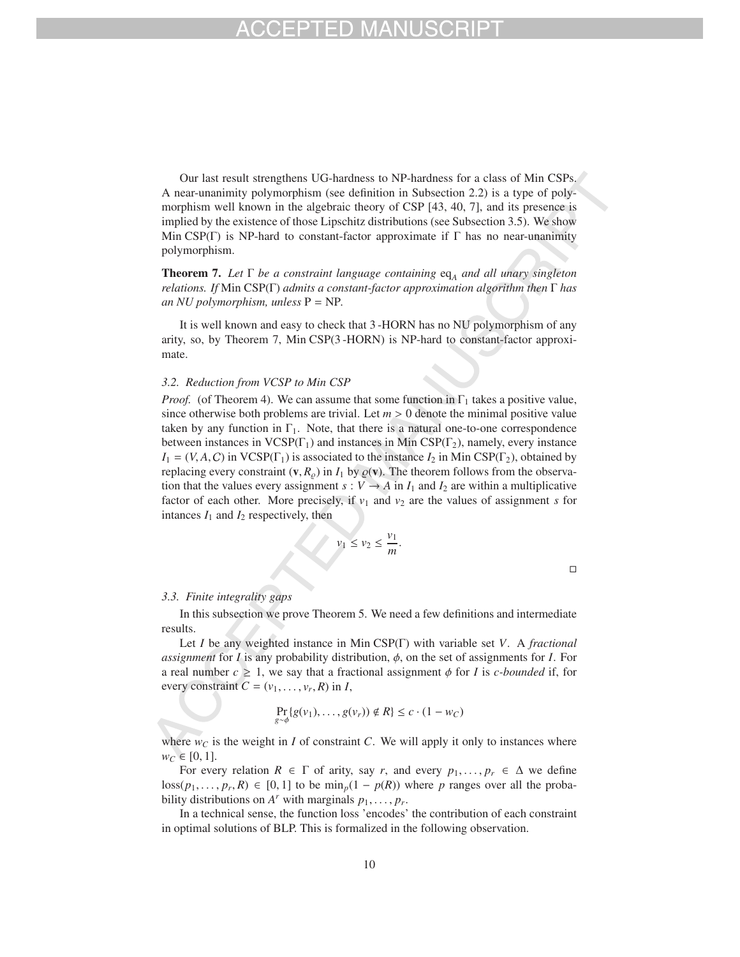Our last result strengthens UG-hardness to NP-hardness for a class of Min CSPs. A near-unanimity polymorphism (see definition in Subsection 2.2) is a type of polymorphism well known in the algebraic theory of CSP [43, 40, 7], and its presence is implied by the existence of those Lipschitz distributions (see Subsection 3.5). We show Min CSP(Γ) is NP-hard to constant-factor approximate if Γ has no near-unanimity polymorphism.

Theorem 7. *Let* Γ *be a constraint language containing* eq*<sup>A</sup> and all unary singleton relations. If* Min CSP(Γ) *admits a constant-factor approximation algorithm then* Γ *has an NU polymorphism, unless* P = NP*.*

It is well known and easy to check that 3 -HORN has no NU polymorphism of any arity, so, by Theorem 7, Min CSP(3 -HORN) is NP-hard to constant-factor approximate.

### *3.2. Reduction from VCSP to Min CSP*

*Proof.* (of Theorem 4). We can assume that some function in  $\Gamma_1$  takes a positive value, since otherwise both problems are trivial. Let  $m > 0$  denote the minimal positive value taken by any function in  $\Gamma_1$ . Note, that there is a natural one-to-one correspondence between instances in  $VCSP(\Gamma_1)$  and instances in Min  $CSP(\Gamma_2)$ , namely, every instance  $I_1 = (V, A, C)$  in VCSP(Γ<sub>1</sub>) is associated to the instance  $I_2$  in Min CSP(Γ<sub>2</sub>), obtained by replacing every constraint  $(v, R_{\rho})$  in  $I_1$  by  $\rho(v)$ . The theorem follows from the observation that the values every assignment  $s : V \to A$  in  $I_1$  and  $I_2$  are within a multiplicative factor of each other. More precisely, if  $v_1$  and  $v_2$  are the values of assignment *s* for intances  $I_1$  and  $I_2$  respectively, then

$$
v_1 \le v_2 \le \frac{v_1}{m}.
$$

 $\Box$ 

### *3.3. Finite integrality gaps*

In this subsection we prove Theorem 5. We need a few definitions and intermediate results.

Let *I* be any weighted instance in Min CSP(Γ) with variable set *V*. A *fractional assignment* for *I* is any probability distribution,  $\phi$ , on the set of assignments for *I*. For a real number  $c \geq 1$ , we say that a fractional assignment  $\phi$  for *I* is *c-bounded* if, for every constraint  $C = (v_1, \ldots, v_r, R)$  in *I*,

$$
\Pr_{g \sim \phi} \{ g(v_1), \dots, g(v_r) \} \notin R \} \le c \cdot (1 - w_C)
$$

where  $w_C$  is the weight in *I* of constraint *C*. We will apply it only to instances where  $w_C \in [0, 1].$ 

For every relation  $R \in \Gamma$  of arity, say r, and every  $p_1, \ldots, p_r \in \Delta$  we define  $\log(p_1, \ldots, p_r, R) \in [0, 1]$  to be min<sub>p</sub>(1 – *p*(*R*)) where *p* ranges over all the probability distributions on  $A^r$  with marginals  $p_1, \ldots, p_r$ .

In a technical sense, the function loss 'encodes' the contribution of each constraint in optimal solutions of BLP. This is formalized in the following observation.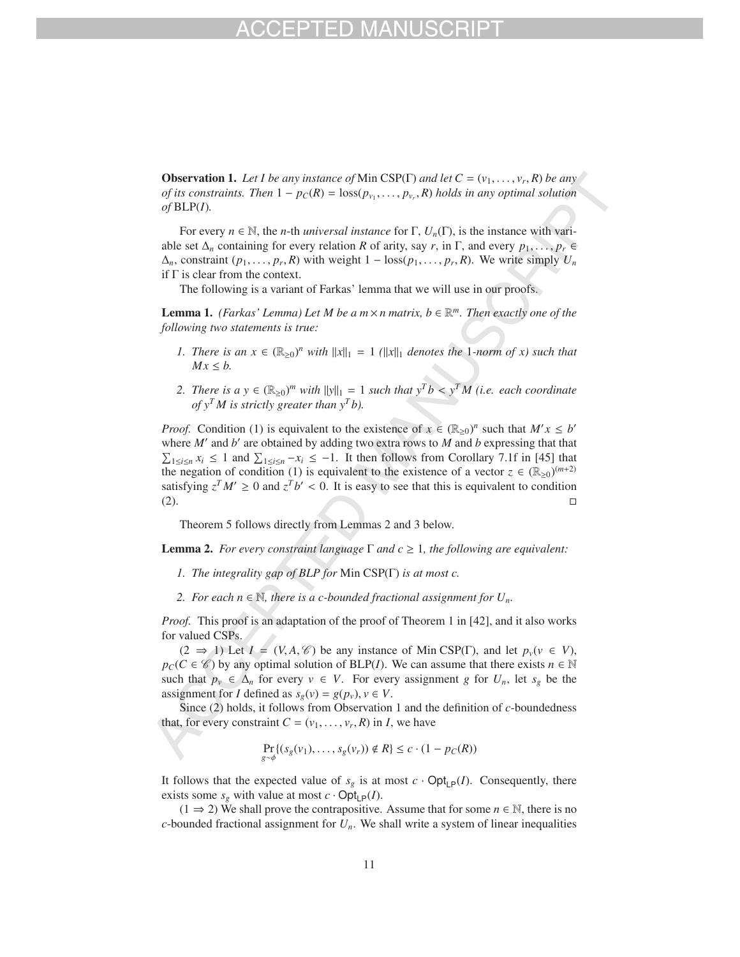**Observation 1.** Let I be any instance of Min CSP(Γ) and let  $C = (v_1, \ldots, v_r, R)$  be any *of its constraints. Then*  $1 - p_C(R) = \text{loss}(p_{v_1}, \ldots, p_{v_r}, R)$  *holds in any optimal solution of* BLP(*I*)*.*

For every  $n \in \mathbb{N}$ , the *n*-th *universal instance* for  $\Gamma$ ,  $U_n(\Gamma)$ , is the instance with variable set  $\Delta_n$  containing for every relation *R* of arity, say *r*, in Γ, and every  $p_1, \ldots, p_r \in$  $\Delta_n$ , constraint  $(p_1, \ldots, p_r, R)$  with weight  $1 - \text{loss}(p_1, \ldots, p_r, R)$ . We write simply  $U_n$ if  $\Gamma$  is clear from the context.

The following is a variant of Farkas' lemma that we will use in our proofs.

**Lemma 1.** *(Farkas' Lemma) Let M be a m*  $\times$  *n matrix, b*  $\in \mathbb{R}^m$ *. Then exactly one of the following two statements is true:*

- *1. There is an*  $x \in (\mathbb{R}_{\geq 0})^n$  *with*  $||x||_1 = 1$  *(* $||x||_1$  *denotes the* 1*-norm of x) such that*  $Mx \leq b$ .
- *2. There is a y* ∈  $(\mathbb{R}_{\geq 0})^m$  *with*  $||y||_1 = 1$  *such that*  $y^Tb < y^T M$  (*i.e. each coordinate of*  $y^T M$  *is strictly greater than*  $y^T b$ *).*

*Proof.* Condition (1) is equivalent to the existence of  $x \in (\mathbb{R}_{\geq 0})^n$  such that  $M'x \leq b'$ where  $M'$  and  $b'$  are obtained by adding two extra rows to  $M$  and  $b$  expressing that that  $\sum_{1 \leq i \leq n} x_i \leq 1$  and  $\sum_{1 \leq i \leq n} -x_i \leq -1$ . It then follows from Corollary 7.1f in [45] that the negation of condition (1) is equivalent to the existence of a vector  $z \in (\mathbb{R}_{\geq 0})^{(m+2)}$ satisfying  $z^T M' \ge 0$  and  $z^T b' < 0$ . It is easy to see that this is equivalent to condition  $\Box$   $\Box$ 

Theorem 5 follows directly from Lemmas 2 and 3 below.

**Lemma 2.** *For every constraint language*  $\Gamma$  *and*  $c \geq 1$ *, the following are equivalent:* 

- *1. The integrality gap of BLP for* Min CSP(Γ) *is at most c.*
- 2. For each  $n ∈ ℕ$ , there is a c-bounded fractional assignment for  $U_n$ .

*Proof.* This proof is an adaptation of the proof of Theorem 1 in [42], and it also works for valued CSPs.

 $(2 \Rightarrow 1)$  Let  $I = (V, A, \mathcal{C})$  be any instance of Min CSP(Γ), and let  $p_v(v \in V)$ ,  $p_C(C \in \mathscr{C})$  by any optimal solution of BLP(*I*). We can assume that there exists  $n \in \mathbb{N}$ such that  $p_v \in \Delta_n$  for every  $v \in V$ . For every assignment *g* for  $U_n$ , let  $s_g$  be the assignment for *I* defined as  $s_g(v) = g(p_v)$ ,  $v \in V$ .

Since (2) holds, it follows from Observation 1 and the definition of *c*-boundedness that, for every constraint  $C = (v_1, \ldots, v_r, R)$  in *I*, we have

$$
\Pr_{g \sim \phi} \{ (s_g(v_1), \dots, s_g(v_r)) \notin R \} \le c \cdot (1 - p_C(R))
$$

It follows that the expected value of  $s_g$  is at most  $c \cdot \text{Opt}_{\text{LP}}(I)$ . Consequently, there exists some  $s_g$  with value at most  $c \cdot \text{Opt}_{\text{LP}}(I)$ .

 $(1 \Rightarrow 2)$  We shall prove the contrapositive. Assume that for some  $n \in \mathbb{N}$ , there is no *c*-bounded fractional assignment for  $U_n$ . We shall write a system of linear inequalities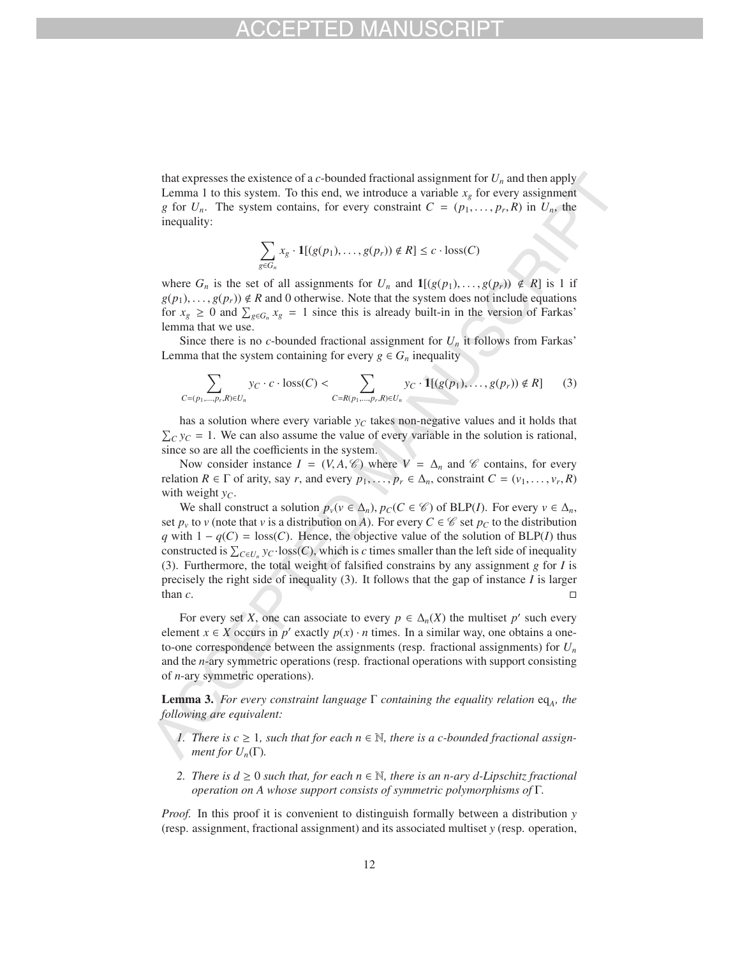that expresses the existence of a  $c$ -bounded fractional assignment for  $U_n$  and then apply Lemma 1 to this system. To this end, we introduce a variable  $x<sub>g</sub>$  for every assignment *g* for  $U_n$ . The system contains, for every constraint  $C = (p_1, \ldots, p_r, R)$  in  $U_n$ , the inequality:

$$
\sum_{g \in G_n} x_g \cdot \mathbf{1}[(g(p_1), \ldots, g(p_r)) \notin R] \leq c \cdot \text{loss}(C)
$$

where  $G_n$  is the set of all assignments for  $U_n$  and  $\mathbf{1}[(g(p_1),...,g(p_r)) \notin R]$  is 1 if  $g(p_1), \ldots, g(p_r) \notin R$  and 0 otherwise. Note that the system does not include equations for  $x_g \ge 0$  and  $\sum_{g \in G_n} x_g = 1$  since this is already built-in in the version of Farkas' lemma that we use.

Since there is no *c*-bounded fractional assignment for  $U_n$  it follows from Farkas' Lemma that the system containing for every  $g \in G_n$  inequality

$$
\sum_{C=(p_1,\ldots,p_r,R)\in U_n} y_C \cdot c \cdot \text{loss}(C) < \sum_{C=R(p_1,\ldots,p_r,R)\in U_n} y_C \cdot \mathbf{1}[(g(p_1),\ldots,g(p_r)) \notin R] \tag{3}
$$

has a solution where every variable  $y_c$  takes non-negative values and it holds that  $\sum_{C} y_C = 1$ . We can also assume the value of every variable in the solution is rational, since so are all the coefficients in the system.

Now consider instance  $I = (V, A, \mathcal{C})$  where  $V = \Delta_n$  and  $\mathcal{C}$  contains, for every relation  $R \in \Gamma$  of arity, say *r*, and every  $p_1, \ldots, p_r \in \Delta_n$ , constraint  $C = (v_1, \ldots, v_r, R)$ with weight  $y_C$ .

We shall construct a solution  $p_v(v \in \Delta_n)$ ,  $p_C(C \in \mathcal{C})$  of BLP(*I*). For every  $v \in \Delta_n$ , set  $p_v$  to *v* (note that *v* is a distribution on *A*). For every  $C \in \mathscr{C}$  set  $p_C$  to the distribution *q* with  $1 - q(C) = \text{loss}(C)$ . Hence, the objective value of the solution of BLP(*I*) thus constructed is  $\sum_{C \in U_n} y_C \cdot \text{loss}(C)$ , which is *c* times smaller than the left side of inequality (3). Furthermore, the total weight of falsified constrains by any assignment *g* for *I* is precisely the right side of inequality (3). It follows that the gap of instance *I* is larger than  $c$ .

For every set *X*, one can associate to every  $p \in \Delta_n(X)$  the multiset  $p'$  such every element *x*  $\in$  *X* occurs in *p*<sup> $\prime$ </sup> exactly *p*(*x*)  $\cdot$  *n* times. In a similar way, one obtains a oneto-one correspondence between the assignments (resp. fractional assignments) for *Un* and the *n*-ary symmetric operations (resp. fractional operations with support consisting of *n*-ary symmetric operations).

**Lemma 3.** *For every constraint language*  $\Gamma$  *containing the equality relation* eq<sub>A</sub>, the *following are equivalent:*

- *1.* There is  $c \geq 1$ , such that for each  $n \in \mathbb{N}$ , there is a c-bounded fractional assign*ment for*  $U_n(\Gamma)$ *.*
- *2. There is d* ≥ 0 *such that, for each n* ∈  $\mathbb N$ *, there is an n-ary d-Lipschitz fractional operation on A whose support consists of symmetric polymorphisms of* Γ*.*

*Proof.* In this proof it is convenient to distinguish formally between a distribution *y* (resp. assignment, fractional assignment) and its associated multiset *y* (resp. operation,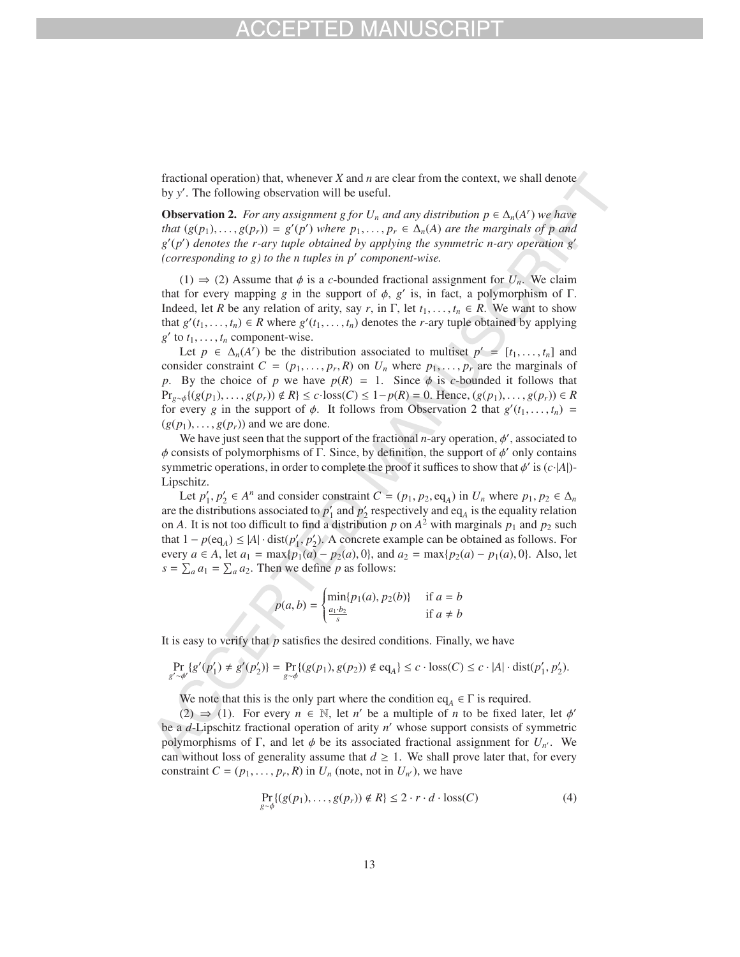fractional operation) that, whenever *X* and *n* are clear from the context, we shall denote by *y* . The following observation will be useful.

**Observation 2.** *For any assignment g for*  $U_n$  *and any distribution*  $p \in \Delta_n(A^r)$  *we have that*  $(g(p_1),..., g(p_r)) = g'(p')$  *where*  $p_1,..., p_r \in \Delta_n(A)$  *are the marginals of* p *and g* (*p* ) *denotes the r-ary tuple obtained by applying the symmetric n-ary operation g (corresponding to g) to the n tuples in p component-wise.*

 $(1) \Rightarrow (2)$  Assume that  $\phi$  is a *c*-bounded fractional assignment for  $U_n$ . We claim that for every mapping *g* in the support of  $φ$ , *g'* is, in fact, a polymorphism of Γ. Indeed, let *R* be any relation of arity, say *r*, in Γ, let  $t_1, \ldots, t_n \in R$ . We want to show that  $g'(t_1, \ldots, t_n) \in R$  where  $g'(t_1, \ldots, t_n)$  denotes the *r*-ary tuple obtained by applying  $g'$  to  $t_1, \ldots, t_n$  component-wise.

Let  $p \in \Delta_n(A^r)$  be the distribution associated to multiset  $p' = [t_1, \ldots, t_n]$  and consider constraint  $C = (p_1, \ldots, p_r, R)$  on  $U_n$  where  $p_1, \ldots, p_r$  are the marginals of *p*. By the choice of *p* we have  $p(R) = 1$ . Since  $\phi$  is *c*-bounded it follows that *Pr*<sub>g∼φ</sub>{(*g*(*p*<sub>1</sub>),...,*g*(*p<sub>r</sub>*)) ∉ *R*} ≤ *c*·loss(*C*) ≤ 1−*p*(*R*) = 0. Hence, (*g*(*p*<sub>1</sub>),...,*g*(*p<sub>r</sub>*)) ∈ *R* for every *g* in the support of  $\phi$ . It follows from Observation 2 that  $g'(t_1,\ldots,t_n)$  =  $(g(p_1), \ldots, g(p_r))$  and we are done.

We have just seen that the support of the fractional  $n$ -ary operation,  $\phi'$ , associated to  $\phi$  consists of polymorphisms of  $\Gamma$ . Since, by definition, the support of  $\phi'$  only contains symmetric operations, in order to complete the proof it suffices to show that  $\phi'$  is  $(c \cdot |A|)$ -Lipschitz.

Let  $p'_1, p'_2 \in A^n$  and consider constraint  $C = (p_1, p_2, \text{eq}_A)$  in  $U_n$  where  $p_1, p_2 \in \Delta_n$ are the distributions associated to  $p'_1$  and  $p'_2$  respectively and eq<sub>A</sub> is the equality relation on *A*. It is not too difficult to find a distribution p on  $A^2$  with marginals  $p_1$  and  $p_2$  such that  $1 - p(\text{eq}_A) \le |A| \cdot \text{dist}(p'_1, p'_2)$ . A concrete example can be obtained as follows. For every  $a \in A$ , let  $a_1 = \max\{p_1(a) - p_2(a), 0\}$ , and  $a_2 = \max\{p_2(a) - p_1(a), 0\}$ . Also, let  $s = \sum_a a_1 = \sum_a a_2$ . Then we define *p* as follows:

$$
p(a,b) = \begin{cases} \min\{p_1(a), p_2(b)\} & \text{if } a = b\\ \frac{a_1 \cdot b_2}{s} & \text{if } a \neq b \end{cases}
$$

It is easy to verify that *p* satisfies the desired conditions. Finally, we have

$$
\Pr_{g' \sim \phi'} \{ g'(p'_1) \neq g'(p'_2) \} = \Pr_{g \sim \phi} \{ (g(p_1), g(p_2)) \notin \text{eq}_A \} \leq c \cdot \text{loss}(C) \leq c \cdot |A| \cdot \text{dist}(p'_1, p'_2).
$$

We note that this is the only part where the condition eq<sub>A</sub>  $\in \Gamma$  is required.

(2)  $\Rightarrow$  (1). For every  $n \in \mathbb{N}$ , let *n'* be a multiple of *n* to be fixed later, let  $\phi'$ be a *d*-Lipschitz fractional operation of arity *n* whose support consists of symmetric polymorphisms of  $\Gamma$ , and let  $\phi$  be its associated fractional assignment for  $U_{n'}$ . We can without loss of generality assume that  $d \geq 1$ . We shall prove later that, for every constraint  $C = (p_1, \ldots, p_r, R)$  in  $U_n$  (note, not in  $U_{n'}$ ), we have

$$
\Pr_{g \sim \phi} \{ (g(p_1), \dots, g(p_r)) \notin R \} \le 2 \cdot r \cdot d \cdot \text{loss}(C) \tag{4}
$$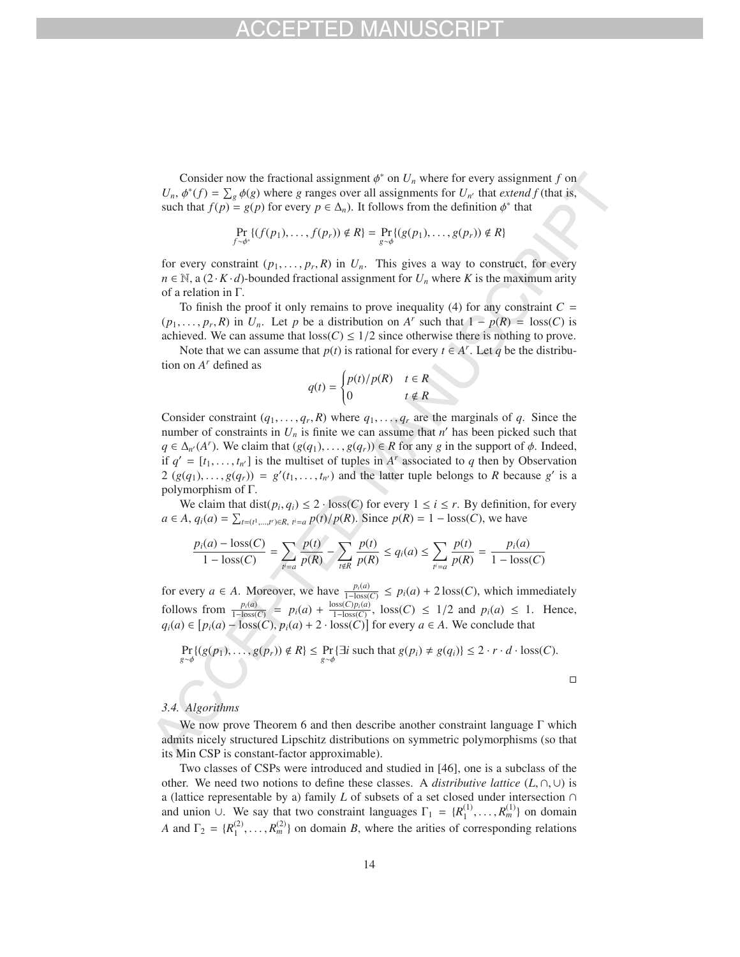Consider now the fractional assignment  $\phi^*$  on  $U_n$  where for every assignment *f* on  $U_n$ ,  $\phi^*(f) = \sum_g \phi(g)$  where *g* ranges over all assignments for  $U_{n'}$  that *extend f* (that is, such that  $f(p) = g(p)$  for every  $p \in \Delta_n$ ). It follows from the definition  $\phi^*$  that

$$
\Pr_{f \sim \phi^*} \{ (f(p_1), \ldots, f(p_r)) \notin R \} = \Pr_{g \sim \phi} \{ (g(p_1), \ldots, g(p_r)) \notin R \}
$$

for every constraint  $(p_1, \ldots, p_r, R)$  in  $U_n$ . This gives a way to construct, for every  $n \in \mathbb{N}$ , a  $(2 \cdot K \cdot d)$ -bounded fractional assignment for  $U_n$  where K is the maximum arity of a relation in Γ.

To finish the proof it only remains to prove inequality (4) for any constraint  $C =$  $(p_1, \ldots, p_r, R)$  in  $U_n$ . Let *p* be a distribution on *A<sup>r</sup>* such that  $1 - p(R) = \text{loss}(C)$  is achieved. We can assume that  $loss(C) \leq 1/2$  since otherwise there is nothing to prove.

Note that we can assume that  $p(t)$  is rational for every  $t \in A^r$ . Let  $q$  be the distribution on *Ar* defined as

$$
q(t) = \begin{cases} p(t)/p(R) & t \in R \\ 0 & t \notin R \end{cases}
$$

Consider constraint  $(q_1, \ldots, q_r, R)$  where  $q_1, \ldots, q_r$  are the marginals of  $q$ . Since the number of constraints in  $U_n$  is finite we can assume that  $n'$  has been picked such that  $q \in \Delta_{n'}(A^r)$ . We claim that  $(g(q_1), \ldots, g(q_r)) \in R$  for any *g* in the support of  $\phi$ . Indeed, if  $q' = [t_1, \ldots, t_{n'}]$  is the multiset of tuples in  $A^r$  associated to q then by Observation  $2(g(q_1),..., g(q_r)) = g'(t_1,...,t_{n'})$  and the latter tuple belongs to *R* because *g'* is a polymorphism of Γ.

We claim that  $dist(p_i, q_i) \leq 2 \cdot loss(C)$  for every  $1 \leq i \leq r$ . By definition, for every *a* ∈ *A*,  $q_i(a) = \sum_{t=(t^1,...,t^r) \in R, t^i = a} p(t)/p(R)$ . Since  $p(R) = 1 - \text{loss}(C)$ , we have

$$
\frac{p_i(a) - \text{loss}(C)}{1 - \text{loss}(C)} = \sum_{i' = a} \frac{p(t)}{p(R)} - \sum_{t \notin R} \frac{p(t)}{p(R)} \le q_i(a) \le \sum_{i' = a} \frac{p(t)}{p(R)} = \frac{p_i(a)}{1 - \text{loss}(C)}
$$

for every *a* ∈ *A*. Moreover, we have  $\frac{p_i(a)}{1-\text{loss}(C)}$  ≤  $p_i(a) + 2\text{loss}(C)$ , which immediately follows from  $\frac{p_i(a)}{1-\text{loss}(C)} = p_i(a) + \frac{\text{loss}(C)p_i(a)}{1-\text{loss}(C)}$ , loss(*C*) ≤ 1/2 and  $p_i(a) \le 1$ . Hence, *q*<sub>*i*</sub>(*a*) ∈  $[p_i(a) - \text{loss}(C), p_i(a) + 2 \cdot \text{loss}(C)]$  for every *a* ∈ *A*. We conclude that

$$
\Pr_{g \sim \phi}\{(g(p_1), \dots, g(p_r)) \notin R\} \le \Pr_{g \sim \phi}\{\exists i \text{ such that } g(p_i) \ne g(q_i)\} \le 2 \cdot r \cdot d \cdot \text{loss}(C).
$$

### *3.4. Algorithms*

We now prove Theorem 6 and then describe another constraint language Γ which admits nicely structured Lipschitz distributions on symmetric polymorphisms (so that its Min CSP is constant-factor approximable).

Two classes of CSPs were introduced and studied in [46], one is a subclass of the other. We need two notions to define these classes. A *distributive lattice* (*L*, ∩, ∪) is a (lattice representable by a) family *L* of subsets of a set closed under intersection ∩ and union ∪. We say that two constraint languages  $\Gamma_1 = \{R_1^{(1)}, \ldots, R_m^{(1)}\}$  on domain *A* and  $\Gamma_2 = \{R_1^{(2)}, \ldots, R_m^{(2)}\}$  on domain *B*, where the arities of corresponding relations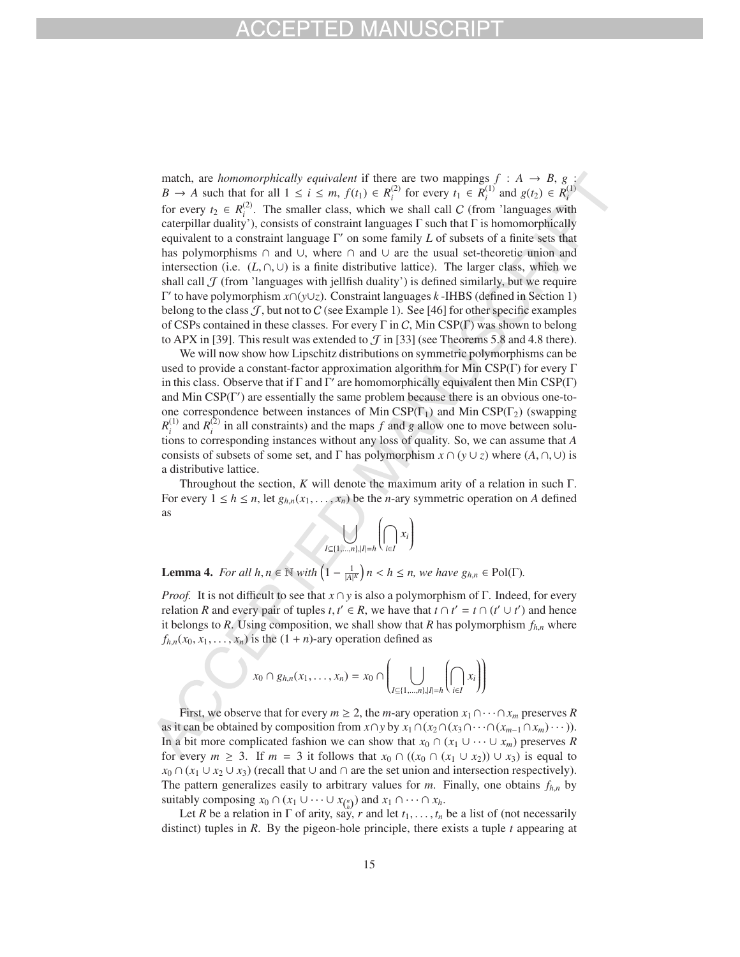match, are *homomorphically equivalent* if there are two mappings  $f : A \rightarrow B$ ,  $g :$ *B* → *A* such that for all  $1 \le i \le m$ ,  $f(t_1) \in R_i^{(2)}$  for every  $t_1 \in R_i^{(1)}$  and  $g(t_2) \in R_i^{(1)}$ for every  $t_2 \in R_i^{(2)}$ . The smaller class, which we shall call C (from 'languages with caterpillar duality'), consists of constraint languages  $\Gamma$  such that  $\Gamma$  is homomorphically equivalent to a constraint language Γ' on some family *L* of subsets of a finite sets that has polymorphisms ∩ and ∪, where ∩ and ∪ are the usual set-theoretic union and intersection (i.e.  $(L, \cap, \cup)$  is a finite distributive lattice). The larger class, which we shall call  $J$  (from 'languages with jellfish duality') is defined similarly, but we require Γ to have polymorphism *x*∩(*y*∪*z*). Constraint languages *k* -IHBS (defined in Section 1) belong to the class  $J$ , but not to C (see Example 1). See [46] for other specific examples of CSPs contained in these classes. For every  $\Gamma$  in C, Min CSP( $\Gamma$ ) was shown to belong to APX in [39]. This result was extended to  $\mathcal J$  in [33] (see Theorems 5.8 and 4.8 there).

We will now show how Lipschitz distributions on symmetric polymorphisms can be used to provide a constant-factor approximation algorithm for Min CSP(Γ) for every Γ in this class. Observe that if  $\Gamma$  and  $\Gamma'$  are homomorphically equivalent then Min CSP( $\Gamma$ ) and Min CSP(Γ ) are essentially the same problem because there is an obvious one-toone correspondence between instances of Min CSP( $\Gamma_1$ ) and Min CSP( $\Gamma_2$ ) (swapping  $R_i^{(1)}$  and  $R_i^{(2)}$  in all constraints) and the maps *f* and *g* allow one to move between solutions to corresponding instances without any loss of quality. So, we can assume that *A* consists of subsets of some set, and  $\Gamma$  has polymorphism  $x \cap (y \cup z)$  where  $(A, \cap, \cup)$  is a distributive lattice.

Throughout the section, *K* will denote the maximum arity of a relation in such Γ. For every  $1 \leq h \leq n$ , let  $g_{h,n}(x_1,\ldots,x_n)$  be the *n*-ary symmetric operation on *A* defined as



**Lemma 4.** *For all h*,  $n \in \mathbb{N}$  *with*  $\left(1 - \frac{1}{|A|^K}\right)n < h \le n$ , we have  $g_{h,n} \in \text{Pol}(\Gamma)$ .

*Proof.* It is not difficult to see that *x* ∩ *y* is also a polymorphism of Γ. Indeed, for every relation *R* and every pair of tuples *t*,  $t' \in R$ , we have that  $t \cap t' = t \cap (t' \cup t')$  and hence it belongs to *R*. Using composition, we shall show that *R* has polymorphism  $f_{h,n}$  where  $f_{h,n}(x_0, x_1, \ldots, x_n)$  is the  $(1 + n)$ -ary operation defined as

$$
x_0 \cap g_{h,n}(x_1,\ldots,x_n) = x_0 \cap \left(\bigcup_{I \subseteq \{1,\ldots,n\},|I|=h} \left(\bigcap_{i\in I} x_i\right)\right)
$$

First, we observe that for every  $m \geq 2$ , the *m*-ary operation  $x_1 \cap \cdots \cap x_m$  preserves R as it can be obtained by composition from  $x \cap y$  by  $x_1 \cap (x_2 \cap (x_3 \cap \cdots \cap (x_{m-1} \cap x_m) \cdots))$ . In a bit more complicated fashion we can show that  $x_0 \cap (x_1 \cup \cdots \cup x_m)$  preserves *R* for every  $m \geq 3$ . If  $m = 3$  it follows that  $x_0 \cap ((x_0 \cap (x_1 \cup x_2)) \cup x_3)$  is equal to  $x_0 \cap (x_1 \cup x_2 \cup x_3)$  (recall that  $\cup$  and  $\cap$  are the set union and intersection respectively). The pattern generalizes easily to arbitrary values for *m*. Finally, one obtains *fh*,*<sup>n</sup>* by suitably composing  $x_0 \cap (x_1 \cup \cdots \cup x_{\binom{n}{h}})$  and  $x_1 \cap \cdots \cap x_h$ .

Let *R* be a relation in  $\Gamma$  of arity, say, *r* and let  $t_1, \ldots, t_n$  be a list of (not necessarily distinct) tuples in *R*. By the pigeon-hole principle, there exists a tuple *t* appearing at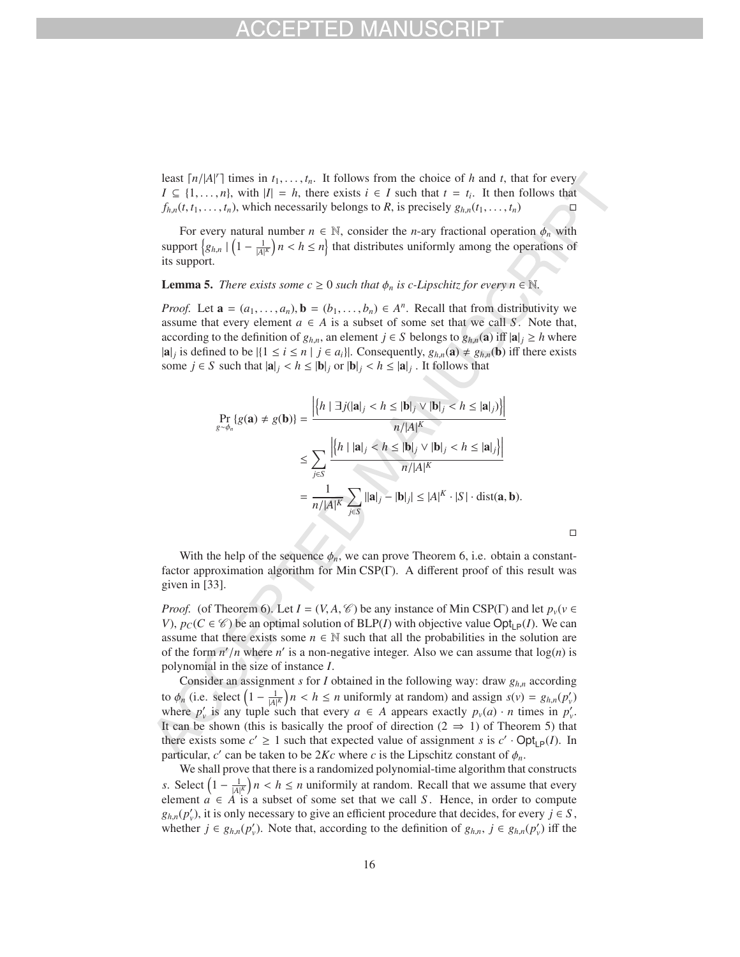least  $\lceil n/|A|^r \rceil$  times in  $t_1, \ldots, t_n$ . It follows from the choice of *h* and *t*, that for every *I* ⊆ {1,...,*n*}, with  $|I| = h$ , there exists  $i \in I$  such that  $t = t_i$ . It then follows that  $f_{h,n}(t, t_1, \ldots, t_n)$ , which necessarily belongs to *R*, is precisely  $g_{h,n}(t_1, \ldots, t_n)$ 

For every natural number  $n \in \mathbb{N}$ , consider the *n*-ary fractional operation  $\phi_n$  with support  $\left\{g_{h,n} | \left(1 - \frac{1}{|A|^K}\right)n < h \le n\right\}$  that distributes uniformly among the operations of its support.

### **Lemma 5.** *There exists some c*  $\geq$  0 *such that*  $\phi_n$  *is c-Lipschitz for every n*  $\in \mathbb{N}$ *.*

*Proof.* Let  $\mathbf{a} = (a_1, \ldots, a_n)$ ,  $\mathbf{b} = (b_1, \ldots, b_n) \in A^n$ . Recall that from distributivity we assume that every element  $a \in A$  is a subset of some set that we call *S*. Note that, according to the definition of  $g_{h,n}$ , an element  $j \in S$  belongs to  $g_{h,n}(a)$  iff  $|a|_i \geq h$  where  $|a|_j$  is defined to be  $|\{1 \le i \le n \mid j \in a_i\}|$ . Consequently,  $g_{h,n}(a) \ne g_{h,n}(b)$  iff there exists some  $j \in S$  such that  $|\mathbf{a}|_j < h \leq |\mathbf{b}|_j$  or  $|\mathbf{b}|_j < h \leq |\mathbf{a}|_j$ . It follows that

$$
\Pr_{g \sim \phi_n} \{ g(\mathbf{a}) \neq g(\mathbf{b}) \} = \frac{\left| \left\{ h \mid \exists j (|\mathbf{a}|_j < h \leq |\mathbf{b}|_j \vee |\mathbf{b}|_j < h \leq |\mathbf{a}|_j) \right\} \right|}{n/|A|^K}
$$
\n
$$
\leq \sum_{j \in S} \frac{\left| \left\{ h \mid |\mathbf{a}|_j < h \leq |\mathbf{b}|_j \vee |\mathbf{b}|_j < h \leq |\mathbf{a}|_j \right\} \right|}{n/|A|^K}
$$
\n
$$
= \frac{1}{n/|A|^K} \sum_{j \in S} ||\mathbf{a}|_j - |\mathbf{b}|_j| \leq |A|^K \cdot |S| \cdot \text{dist}(\mathbf{a}, \mathbf{b}).
$$

 $\Box$ 

With the help of the sequence  $\phi_n$ , we can prove Theorem 6, i.e. obtain a constantfactor approximation algorithm for Min CSP(Γ). A different proof of this result was given in [33].

*Proof.* (of Theorem 6). Let  $I = (V, A, \mathcal{C})$  be any instance of Min CSP(Γ) and let  $p_v(v \in \mathcal{C})$ *V*),  $p_C(C \in \mathcal{C})$  be an optimal solution of BLP(*I*) with objective value Opt<sub>IP</sub>(*I*). We can assume that there exists some  $n \in \mathbb{N}$  such that all the probabilities in the solution are of the form  $n'/n$  where  $n'$  is a non-negative integer. Also we can assume that  $log(n)$  is polynomial in the size of instance *I*.

Consider an assignment *s* for *I* obtained in the following way: draw *gh*,*<sup>n</sup>* according to  $\phi_n$  (i.e. select  $\left(1 - \frac{1}{|A|^K}\right)n < h \le n$  uniformly at random) and assign  $s(v) = g_{h,n}(p'_v)$ where  $p'_v$  is any tuple such that every  $a \in A$  appears exactly  $p_v(a) \cdot n$  times in  $p'_v$ . It can be shown (this is basically the proof of direction ( $2 \Rightarrow 1$ ) of Theorem 5) that there exists some  $c' \geq 1$  such that expected value of assignment *s* is  $c' \cdot \text{Opt}_{\text{LP}}(I)$ . In particular,  $c'$  can be taken to be  $2Kc$  where *c* is the Lipschitz constant of  $\phi_n$ .

We shall prove that there is a randomized polynomial-time algorithm that constructs *s*. Select  $\left(1 - \frac{1}{|A|^K}\right)n < h \le n$  uniformily at random. Recall that we assume that every element  $\hat{a} \in \hat{A}$  is a subset of some set that we call *S*. Hence, in order to compute  $g_{h,n}(p'_v)$ , it is only necessary to give an efficient procedure that decides, for every  $j \in S$ , whether  $j \in g_{h,n}(p_v)$ . Note that, according to the definition of  $g_{h,n}, j \in g_{h,n}(p_v)$  iff the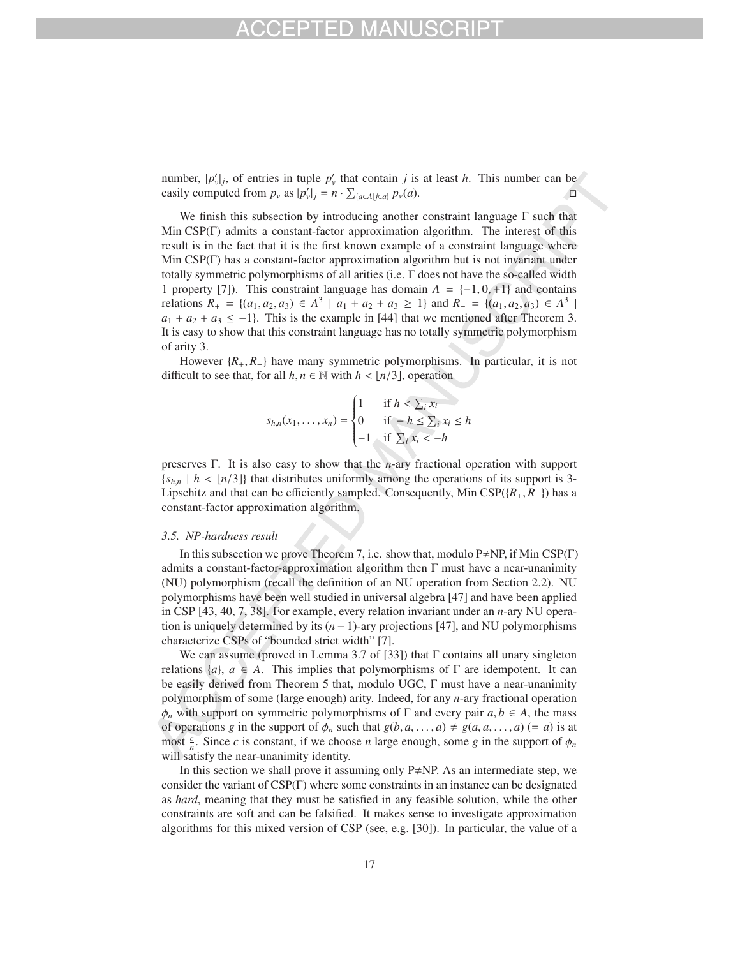number,  $|p'_v|_j$ , of entries in tuple  $p'_v$  that contain *j* is at least *h*. This number can be easily computed from  $p_v$  as  $|p'_v|_j = n \cdot \sum_{\{a \in A | j \in a\}} p_v(a)$ .

We finish this subsection by introducing another constraint language  $\Gamma$  such that Min CSP(Γ) admits a constant-factor approximation algorithm. The interest of this result is in the fact that it is the first known example of a constraint language where Min CSP(Γ) has a constant-factor approximation algorithm but is not invariant under totally symmetric polymorphisms of all arities (i.e. Γ does not have the so-called width 1 property [7]). This constraint language has domain  $A = \{-1, 0, +1\}$  and contains relations  $R_+ = \{(a_1, a_2, a_3) \in A^3 \mid a_1 + a_2 + a_3 \ge 1\}$  and  $R_− = \{(a_1, a_2, a_3) \in A^3 \mid a_1 + a_2 + a_3 \ge 1\}$  $a_1 + a_2 + a_3 \le -1$ . This is the example in [44] that we mentioned after Theorem 3. It is easy to show that this constraint language has no totally symmetric polymorphism of arity 3.

However {*R*+, *R*−} have many symmetric polymorphisms. In particular, it is not difficult to see that, for all  $h, n \in \mathbb{N}$  with  $h < |n/3|$ , operation

$$
s_{h,n}(x_1,\ldots,x_n) = \begin{cases} 1 & \text{if } h < \sum_i x_i \\ 0 & \text{if } -h \le \sum_i x_i \le h \\ -1 & \text{if } \sum_i x_i < -h \end{cases}
$$

preserves Γ. It is also easy to show that the *n*-ary fractional operation with support  ${s_{h,n} | h < [n/3]}$  that distributes uniformly among the operations of its support is 3-Lipschitz and that can be efficiently sampled. Consequently, Min CSP({*R*+, *R*−}) has a constant-factor approximation algorithm.

### *3.5. NP-hardness result*

In this subsection we prove Theorem 7, i.e. show that, modulo  $P \neq NP$ , if Min CSP(T) admits a constant-factor-approximation algorithm then  $\Gamma$  must have a near-unanimity (NU) polymorphism (recall the definition of an NU operation from Section 2.2). NU polymorphisms have been well studied in universal algebra [47] and have been applied in CSP [43, 40, 7, 38]. For example, every relation invariant under an *n*-ary NU operation is uniquely determined by its (*n* − 1)-ary projections [47], and NU polymorphisms characterize CSPs of "bounded strict width" [7].

We can assume (proved in Lemma 3.7 of [33]) that  $\Gamma$  contains all unary singleton relations  $\{a\}$ ,  $a \in A$ . This implies that polymorphisms of  $\Gamma$  are idempotent. It can be easily derived from Theorem 5 that, modulo UGC, Γ must have a near-unanimity polymorphism of some (large enough) arity. Indeed, for any *n*-ary fractional operation  $\phi_n$  with support on symmetric polymorphisms of  $\Gamma$  and every pair  $a, b \in A$ , the mass of operations *g* in the support of  $\phi_n$  such that  $g(b, a, \ldots, a) \neq g(a, a, \ldots, a)$  (= *a*) is at most  $\frac{c}{n}$ . Since *c* is constant, if we choose *n* large enough, some *g* in the support of  $\phi_n$ will satisfy the near-unanimity identity.

In this section we shall prove it assuming only  $P \neq NP$ . As an intermediate step, we consider the variant of CSP(Γ) where some constraints in an instance can be designated as *hard*, meaning that they must be satisfied in any feasible solution, while the other constraints are soft and can be falsified. It makes sense to investigate approximation algorithms for this mixed version of CSP (see, e.g. [30]). In particular, the value of a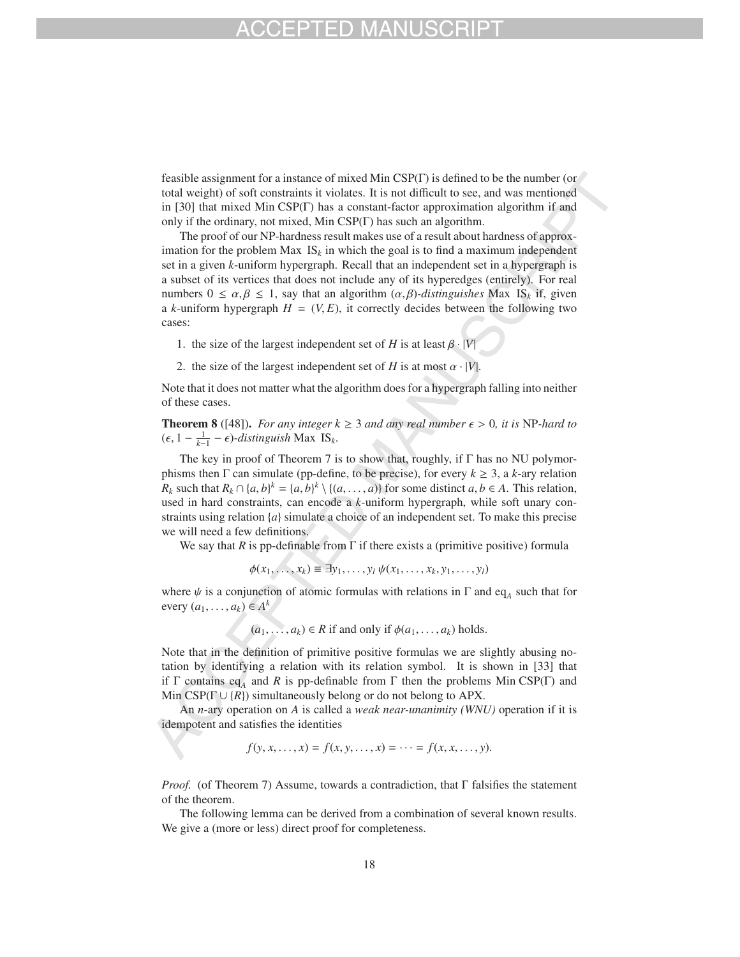feasible assignment for a instance of mixed Min CSP(Γ) is defined to be the number (or total weight) of soft constraints it violates. It is not difficult to see, and was mentioned in [30] that mixed Min CSP(Γ) has a constant-factor approximation algorithm if and only if the ordinary, not mixed, Min CSP(Γ) has such an algorithm.

The proof of our NP-hardness result makes use of a result about hardness of approximation for the problem Max  $IS_k$  in which the goal is to find a maximum independent set in a given *k*-uniform hypergraph. Recall that an independent set in a hypergraph is a subset of its vertices that does not include any of its hyperedges (entirely). For real numbers 0 ≤  $\alpha$ , $\beta$  ≤ 1, say that an algorithm ( $\alpha$ , $\beta$ )*-distinguishes* Max IS<sub>k</sub> if, given a *k*-uniform hypergraph  $H = (V, E)$ , it correctly decides between the following two cases:

- 1. the size of the largest independent set of *H* is at least  $\beta \cdot |V|$
- 2. the size of the largest independent set of *H* is at most  $\alpha \cdot |V|$ .

Note that it does not matter what the algorithm does for a hypergraph falling into neither of these cases.

**Theorem 8** ([48]). *For any integer*  $k \geq 3$  *and any real number*  $\epsilon > 0$ *, it is* NP-*hard to*  $(\epsilon, 1 - \frac{1}{k-1} - \epsilon)$ -distinguish Max IS<sub>k</sub>.

The key in proof of Theorem 7 is to show that, roughly, if  $\Gamma$  has no NU polymorphisms then  $\Gamma$  can simulate (pp-define, to be precise), for every  $k \geq 3$ , a *k*-ary relation *R<sub>k</sub>* such that  $R_k \cap \{a, b\}^k = \{a, b\}^k \setminus \{(a, \ldots, a)\}$  for some distinct  $a, b \in A$ . This relation, used in hard constraints, can encode a *k*-uniform hypergraph, while soft unary constraints using relation {*a*} simulate a choice of an independent set. To make this precise we will need a few definitions.

We say that *R* is pp-definable from  $\Gamma$  if there exists a (primitive positive) formula

 $\phi(x_1, \ldots, x_k) \equiv \exists y_1, \ldots, y_l \, \psi(x_1, \ldots, x_k, y_1, \ldots, y_l)$ 

where  $\psi$  is a conjunction of atomic formulas with relations in  $\Gamma$  and eq<sub>A</sub> such that for every  $(a_1, \ldots, a_k) \in A^k$ 

 $(a_1, \ldots, a_k) \in R$  if and only if  $\phi(a_1, \ldots, a_k)$  holds.

Note that in the definition of primitive positive formulas we are slightly abusing notation by identifying a relation with its relation symbol. It is shown in [33] that if Γ contains eq<sub>A</sub> and R is pp-definable from Γ then the problems Min CSP(Γ) and Min CSP( $\Gamma \cup \{R\}$ ) simultaneously belong or do not belong to APX.

An *n*-ary operation on *A* is called a *weak near-unanimity (WNU)* operation if it is idempotent and satisfies the identities

$$
f(y, x, ..., x) = f(x, y, ..., x) = ... = f(x, x, ..., y).
$$

*Proof.* (of Theorem 7) Assume, towards a contradiction, that Γ falsifies the statement of the theorem.

The following lemma can be derived from a combination of several known results. We give a (more or less) direct proof for completeness.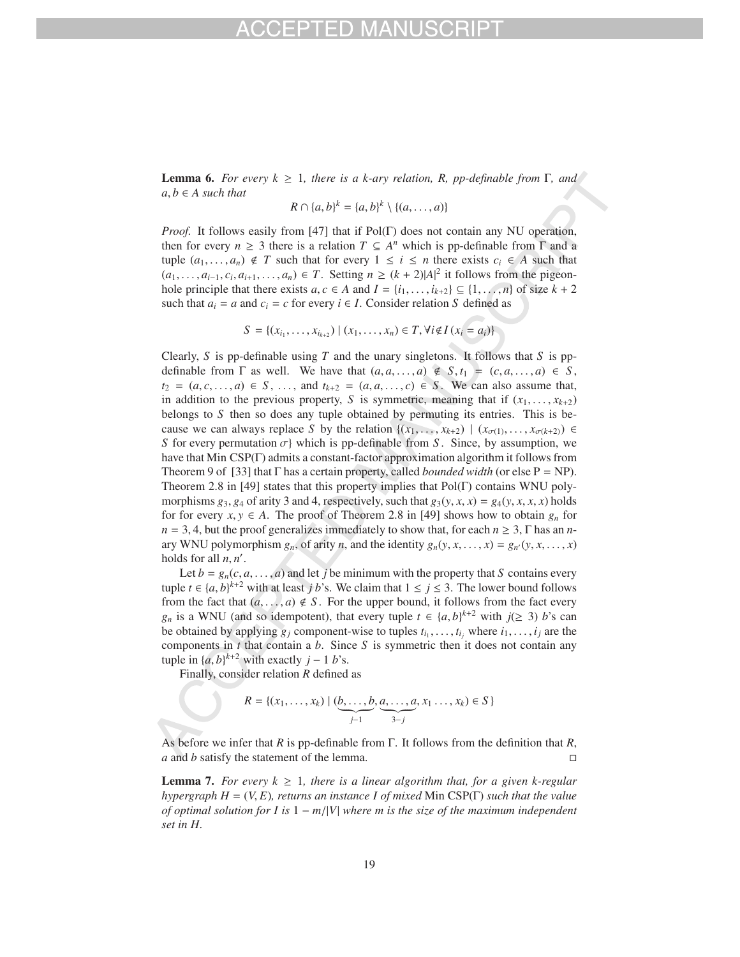**Lemma 6.** *For every*  $k \geq 1$ *, there is a k-ary relation, R, pp-definable from* Γ, *and*  $a, b \in A$  *such that* 

$$
R \cap \{a,b\}^k = \{a,b\}^k \setminus \{(a,\ldots,a)\}
$$

*Proof.* It follows easily from [47] that if Pol(Γ) does not contain any NU operation, then for every  $n \geq 3$  there is a relation  $T \subseteq A^n$  which is pp-definable from  $\Gamma$  and a tuple  $(a_1, \ldots, a_n) \notin T$  such that for every  $1 \leq i \leq n$  there exists  $c_i \in A$  such that  $(a_1, ..., a_{i-1}, c_i, a_{i+1}, ..., a_n)$  ∈ *T*. Setting *n* ≥  $(k + 2)|A|^2$  it follows from the pigeonhole principle that there exists  $a, c \in A$  and  $I = \{i_1, \ldots, i_{k+2}\} \subseteq \{1, \ldots, n\}$  of size  $k + 2$ such that  $a_i = a$  and  $c_i = c$  for every  $i \in I$ . Consider relation *S* defined as

$$
S = \{(x_{i_1}, \ldots, x_{i_{k+2}}) \mid (x_1, \ldots, x_n) \in T, \forall i \notin I \ (x_i = a_i)\}
$$

Clearly, *S* is pp-definable using *T* and the unary singletons. It follows that *S* is ppdefinable from  $\Gamma$  as well. We have that  $(a, a, \ldots, a) \notin S, t_1 = (c, a, \ldots, a) \in S$ , *t*<sub>2</sub> = (*a*, *c*,..., *a*) ∈ *S*, ..., and  $t_{k+2} = (a, a, ..., c) ∈ S$ . We can also assume that, in addition to the previous property, *S* is symmetric, meaning that if  $(x_1, \ldots, x_{k+2})$ belongs to *S* then so does any tuple obtained by permuting its entries. This is because we can always replace *S* by the relation  $\{(x_1, \ldots, x_{k+2}) \mid (x_{\sigma(1)}, \ldots, x_{\sigma(k+2)}) \in$ *S* for every permutation  $\sigma$ } which is pp-definable from *S*. Since, by assumption, we have that Min CSP(Γ) admits a constant-factor approximation algorithm it follows from Theorem 9 of [33] that  $\Gamma$  has a certain property, called *bounded width* (or else  $P = NP$ ). Theorem 2.8 in [49] states that this property implies that  $Pol(\Gamma)$  contains WNU polymorphisms  $g_3$ ,  $g_4$  of arity 3 and 4, respectively, such that  $g_3(y, x, x) = g_4(y, x, x, x)$  holds for for every  $x, y \in A$ . The proof of Theorem 2.8 in [49] shows how to obtain  $g_n$  for  $n = 3, 4$ , but the proof generalizes immediately to show that, for each  $n \geq 3$ ,  $\Gamma$  has an *n*ary WNU polymorphism  $g_n$ , of arity *n*, and the identity  $g_n(y, x, \ldots, x) = g_{n'}(y, x, \ldots, x)$ holds for all  $n, n'$ .

Let  $b = g_n(c, a, \ldots, a)$  and let *j* be minimum with the property that *S* contains every tuple  $t \in \{a, b\}^{k+2}$  with at least *j b*'s. We claim that  $1 \le j \le 3$ . The lower bound follows from the fact that  $(a, \ldots, a) \notin S$ . For the upper bound, it follows from the fact every *g<sub>n</sub>* is a WNU (and so idempotent), that every tuple  $t \in \{a, b\}^{k+2}$  with  $j(\geq 3)$  *b*'s can be obtained by applying  $g_j$  component-wise to tuples  $t_{i_1}, \ldots, t_{i_j}$  where  $i_1, \ldots, i_j$  are the components in *t* that contain a *b*. Since *S* is symmetric then it does not contain any tuple in  $\{a, b\}^{k+2}$  with exactly  $j - 1$  *b*'s.

Finally, consider relation *R* defined as

$$
R = \{(x_1, \ldots, x_k) \mid (\underbrace{b, \ldots, b}_{j-1}, \underbrace{a, \ldots, a}_{3-j}, x_1 \ldots, x_k) \in S\}
$$

As before we infer that *R* is pp-definable from Γ. It follows from the definition that *R*, *a* and *b* satisfy the statement of the lemma.  $\Box$ 

**Lemma 7.** For every  $k \geq 1$ , there is a linear algorithm that, for a given k-regular *hypergraph H* = (*V*, *E*)*, returns an instance I of mixed* Min CSP(Γ) *such that the value of optimal solution for I is* 1 − *m*/|*V*| *where m is the size of the maximum independent set in H.*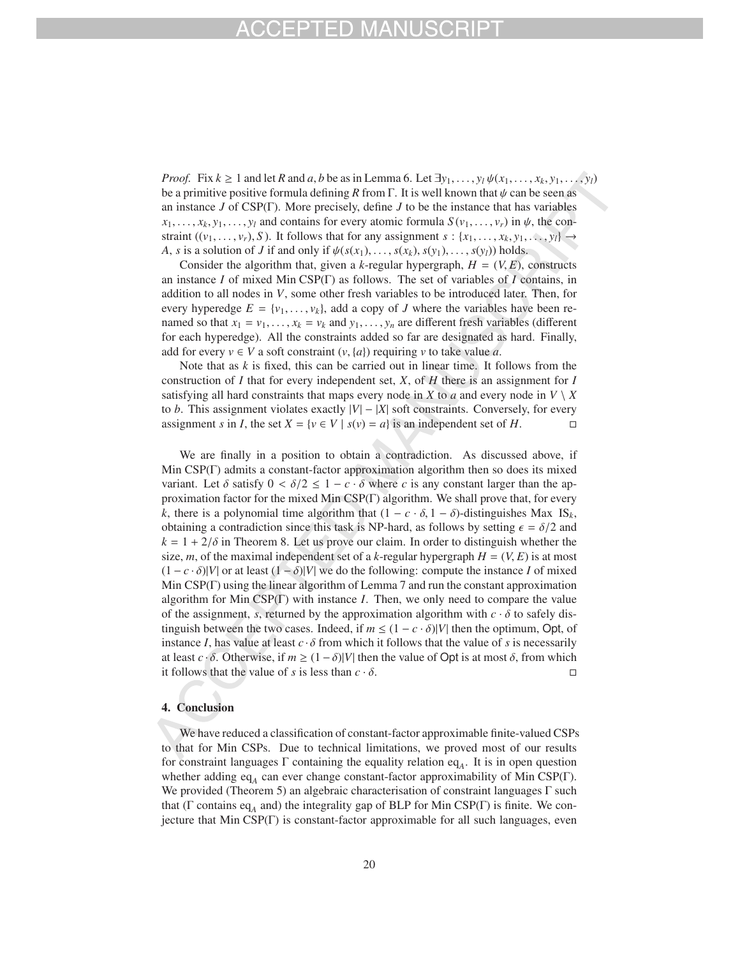*Proof.* Fix  $k \ge 1$  and let *R* and *a*, *b* be as in Lemma 6. Let  $\exists y_1, \ldots, y_l \psi(x_1, \ldots, x_k, y_1, \ldots, y_l)$ be a primitive positive formula defining *R* from Γ. It is well known that  $\psi$  can be seen as an instance *J* of CSP(Γ). More precisely, define *J* to be the instance that has variables  $x_1, \ldots, x_k, y_1, \ldots, y_l$  and contains for every atomic formula  $S(v_1, \ldots, v_r)$  in  $\psi$ , the constraint  $((v_1, \ldots, v_r), S)$ . It follows that for any assignment  $s : \{x_1, \ldots, x_k, y_1, \ldots, y_l\} \rightarrow$ *A*, *s* is a solution of *J* if and only if  $\psi(s(x_1),...,s(x_k),s(y_1),...,s(y_l))$  holds.

Consider the algorithm that, given a *k*-regular hypergraph,  $H = (V, E)$ , constructs an instance *I* of mixed Min CSP(Γ) as follows. The set of variables of *I* contains, in addition to all nodes in *V*, some other fresh variables to be introduced later. Then, for every hyperedge  $E = \{v_1, \ldots, v_k\}$ , add a copy of *J* where the variables have been renamed so that  $x_1 = v_1, \ldots, x_k = v_k$  and  $y_1, \ldots, y_n$  are different fresh variables (different for each hyperedge). All the constraints added so far are designated as hard. Finally, add for every  $v \in V$  a soft constraint  $(v, \{a\})$  requiring *v* to take value *a*.

Note that as  $k$  is fixed, this can be carried out in linear time. It follows from the construction of *I* that for every independent set, *X*, of *H* there is an assignment for *I* satisfying all hard constraints that maps every node in *X* to *a* and every node in  $V \setminus X$ to *b*. This assignment violates exactly  $|V| - |X|$  soft constraints. Conversely, for every assignment *s* in *I*, the set  $X = \{v \in V | s(v) = a\}$  is an independent set of *H*. assignment *s* in *I*, the set  $X = \{v \in V \mid s(v) = a\}$  is an independent set of *H*.

We are finally in a position to obtain a contradiction. As discussed above, if Min CSP(Γ) admits a constant-factor approximation algorithm then so does its mixed variant. Let  $\delta$  satisfy  $0 < \delta/2 \leq 1 - c \cdot \delta$  where *c* is any constant larger than the approximation factor for the mixed Min CSP(Γ) algorithm. We shall prove that, for every *k*, there is a polynomial time algorithm that  $(1 - c \cdot \delta, 1 - \delta)$ -distinguishes Max IS<sub>k</sub>, obtaining a contradiction since this task is NP-hard, as follows by setting  $\epsilon = \delta/2$  and  $k = 1 + 2/\delta$  in Theorem 8. Let us prove our claim. In order to distinguish whether the size, *m*, of the maximal independent set of a *k*-regular hypergraph  $H = (V, E)$  is at most  $(1 - c \cdot \delta)|V|$  or at least  $(1 - \delta)|V|$  we do the following: compute the instance *I* of mixed Min CSP(Γ) using the linear algorithm of Lemma 7 and run the constant approximation algorithm for Min CSP(Γ) with instance *I*. Then, we only need to compare the value of the assignment, *s*, returned by the approximation algorithm with  $c \cdot \delta$  to safely distinguish between the two cases. Indeed, if  $m \leq (1 - c \cdot \delta)|V|$  then the optimum, Opt, of instance *I*, has value at least  $c \cdot \delta$  from which it follows that the value of *s* is necessarily at least *c* ·  $\delta$ . Otherwise, if  $m \ge (1 - \delta)|V|$  then the value of Opt is at most  $\delta$ , from which it follows that the value of *s* is less than  $c \cdot \delta$ .  $\Box$ 

### 4. Conclusion

We have reduced a classification of constant-factor approximable finite-valued CSPs to that for Min CSPs. Due to technical limitations, we proved most of our results for constraint languages Γ containing the equality relation eq*A*. It is in open question whether adding eq<sub>A</sub> can ever change constant-factor approximability of Min CSP(Γ). We provided (Theorem 5) an algebraic characterisation of constraint languages Γ such that (Γ contains eq<sub>A</sub> and) the integrality gap of BLP for Min CSP(Γ) is finite. We conjecture that Min CSP(Γ) is constant-factor approximable for all such languages, even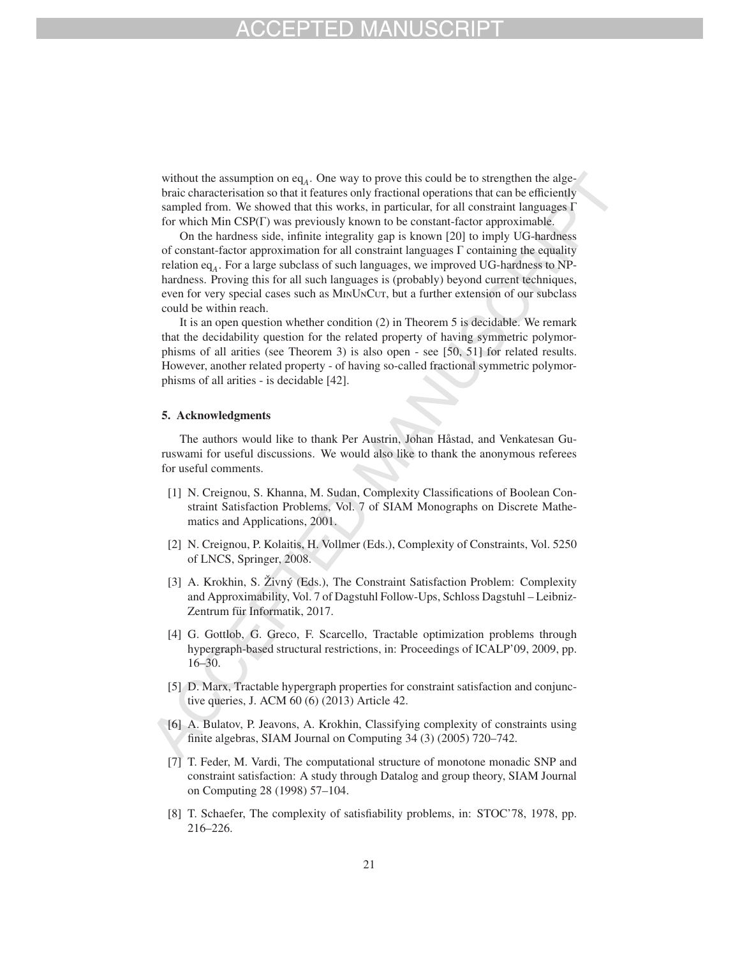without the assumption on eq<sub>A</sub>. One way to prove this could be to strengthen the algebraic characterisation so that it features only fractional operations that can be efficiently sampled from. We showed that this works, in particular, for all constraint languages Γ for which Min CSP(Γ) was previously known to be constant-factor approximable.

On the hardness side, infinite integrality gap is known [20] to imply UG-hardness of constant-factor approximation for all constraint languages  $\Gamma$  containing the equality relation eq*A*. For a large subclass of such languages, we improved UG-hardness to NPhardness. Proving this for all such languages is (probably) beyond current techniques, even for very special cases such as MINUNCUT, but a further extension of our subclass could be within reach.

It is an open question whether condition (2) in Theorem 5 is decidable. We remark that the decidability question for the related property of having symmetric polymorphisms of all arities (see Theorem 3) is also open - see [50, 51] for related results. However, another related property - of having so-called fractional symmetric polymorphisms of all arities - is decidable [42].

### 5. Acknowledgments

The authors would like to thank Per Austrin, Johan Håstad, and Venkatesan Guruswami for useful discussions. We would also like to thank the anonymous referees for useful comments.

- [1] N. Creignou, S. Khanna, M. Sudan, Complexity Classifications of Boolean Constraint Satisfaction Problems, Vol. 7 of SIAM Monographs on Discrete Mathematics and Applications, 2001.
- [2] N. Creignou, P. Kolaitis, H. Vollmer (Eds.), Complexity of Constraints, Vol. 5250 of LNCS, Springer, 2008.
- [3] A. Krokhin, S. Živný (Eds.), The Constraint Satisfaction Problem: Complexity and Approximability, Vol. 7 of Dagstuhl Follow-Ups, Schloss Dagstuhl – Leibniz-Zentrum für Informatik, 2017.
- [4] G. Gottlob, G. Greco, F. Scarcello, Tractable optimization problems through hypergraph-based structural restrictions, in: Proceedings of ICALP'09, 2009, pp. 16–30.
- [5] D. Marx, Tractable hypergraph properties for constraint satisfaction and conjunctive queries, J. ACM 60 (6) (2013) Article 42.
- [6] A. Bulatov, P. Jeavons, A. Krokhin, Classifying complexity of constraints using finite algebras, SIAM Journal on Computing 34 (3) (2005) 720–742.
- [7] T. Feder, M. Vardi, The computational structure of monotone monadic SNP and constraint satisfaction: A study through Datalog and group theory, SIAM Journal on Computing 28 (1998) 57–104.
- [8] T. Schaefer, The complexity of satisfiability problems, in: STOC'78, 1978, pp. 216–226.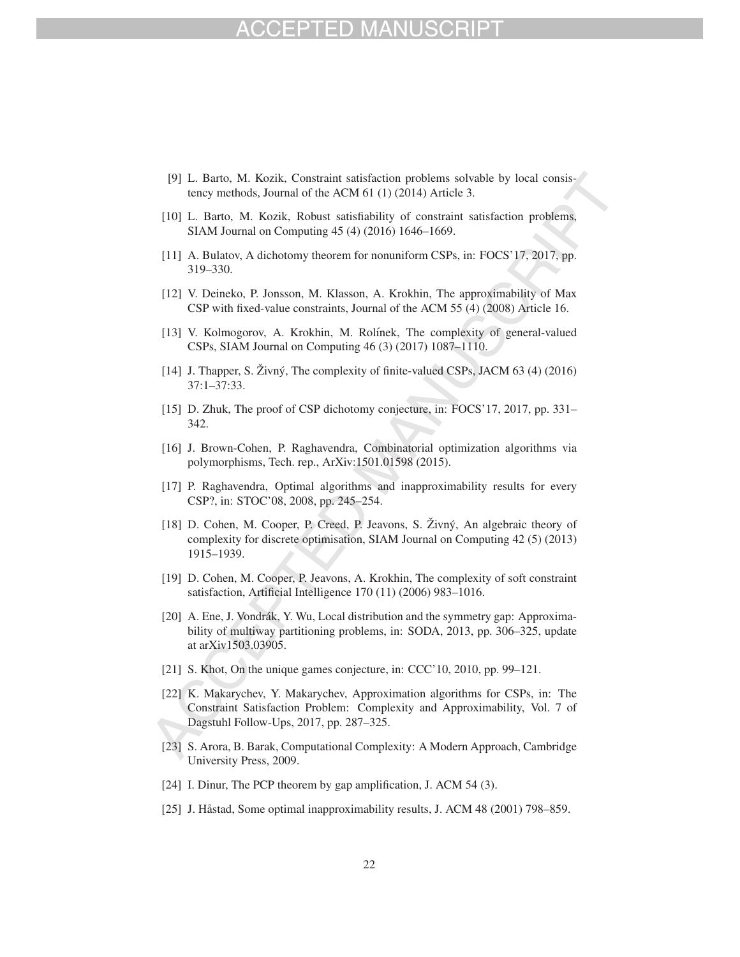# $-1)$

- [9] L. Barto, M. Kozik, Constraint satisfaction problems solvable by local consistency methods, Journal of the ACM 61 (1) (2014) Article 3.
- [10] L. Barto, M. Kozik, Robust satisfiability of constraint satisfaction problems, SIAM Journal on Computing 45 (4) (2016) 1646–1669.
- [11] A. Bulatov, A dichotomy theorem for nonuniform CSPs, in: FOCS'17, 2017, pp. 319–330.
- [12] V. Deineko, P. Jonsson, M. Klasson, A. Krokhin, The approximability of Max CSP with fixed-value constraints, Journal of the ACM 55 (4) (2008) Article 16.
- [13] V. Kolmogorov, A. Krokhin, M. Rolínek, The complexity of general-valued CSPs, SIAM Journal on Computing 46 (3) (2017) 1087–1110.
- [14] J. Thapper, S. Živný, The complexity of finite-valued CSPs, JACM  $63$  (4) (2016) 37:1–37:33.
- [15] D. Zhuk, The proof of CSP dichotomy conjecture, in: FOCS'17, 2017, pp. 331– 342.
- [16] J. Brown-Cohen, P. Raghavendra, Combinatorial optimization algorithms via polymorphisms, Tech. rep., ArXiv:1501.01598 (2015).
- [17] P. Raghavendra, Optimal algorithms and inapproximability results for every CSP?, in: STOC'08, 2008, pp. 245–254.
- [18] D. Cohen, M. Cooper, P. Creed, P. Jeavons, S. Zivný, An algebraic theory of complexity for discrete optimisation, SIAM Journal on Computing 42 (5) (2013) 1915–1939.
- [19] D. Cohen, M. Cooper, P. Jeavons, A. Krokhin, The complexity of soft constraint satisfaction, Artificial Intelligence 170 (11) (2006) 983–1016.
- [20] A. Ene, J. Vondrák, Y. Wu, Local distribution and the symmetry gap: Approximability of multiway partitioning problems, in: SODA, 2013, pp. 306–325, update at arXiv1503.03905.
- [21] S. Khot, On the unique games conjecture, in: CCC'10, 2010, pp. 99–121.
- [22] K. Makarychev, Y. Makarychev, Approximation algorithms for CSPs, in: The Constraint Satisfaction Problem: Complexity and Approximability, Vol. 7 of Dagstuhl Follow-Ups, 2017, pp. 287–325.
- [23] S. Arora, B. Barak, Computational Complexity: A Modern Approach, Cambridge University Press, 2009.
- [24] I. Dinur, The PCP theorem by gap amplification, J. ACM 54 (3).
- [25] J. Håstad, Some optimal inapproximability results, J. ACM 48 (2001) 798–859.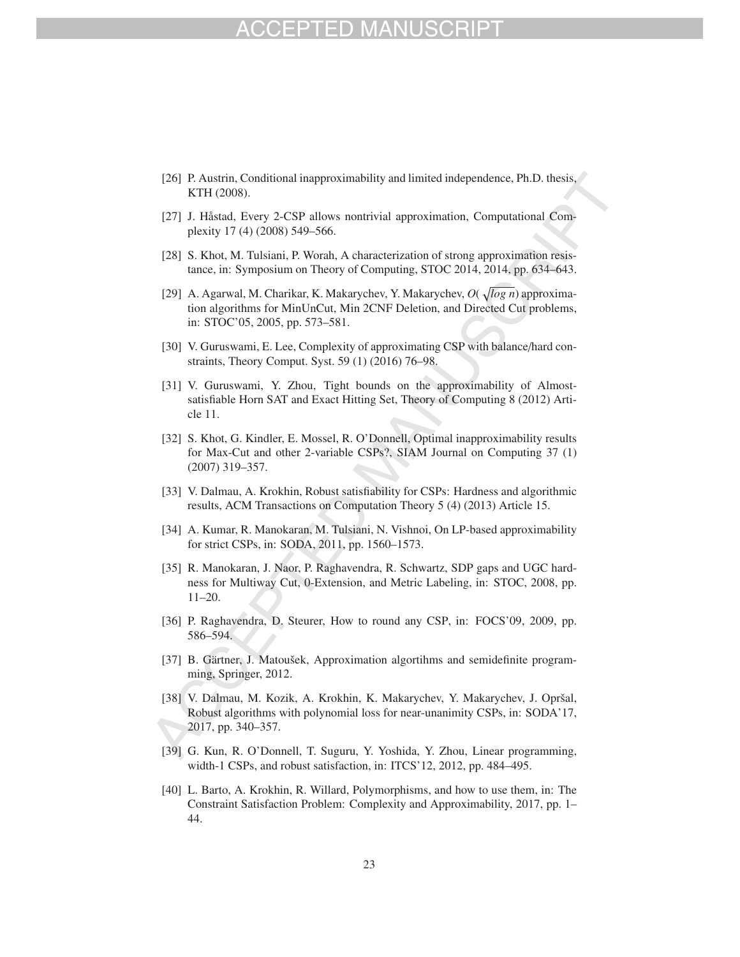# -D MA

- [26] P. Austrin, Conditional inapproximability and limited independence, Ph.D. thesis, KTH (2008).
- [27] J. Håstad, Every 2-CSP allows nontrivial approximation, Computational Complexity 17 (4) (2008) 549–566.
- [28] S. Khot, M. Tulsiani, P. Worah, A characterization of strong approximation resistance, in: Symposium on Theory of Computing, STOC 2014, 2014, pp. 634–643.
- [29] A. Agarwal, M. Charikar, K. Makarychev, Y. Makarychev,  $O(\sqrt{\log n})$  approximation algorithms for MinUnCut, Min 2CNF Deletion, and Directed Cut problems, in: STOC'05, 2005, pp. 573–581.
- [30] V. Guruswami, E. Lee, Complexity of approximating CSP with balance/hard constraints, Theory Comput. Syst. 59 (1) (2016) 76–98.
- [31] V. Guruswami, Y. Zhou, Tight bounds on the approximability of Almostsatisfiable Horn SAT and Exact Hitting Set, Theory of Computing 8 (2012) Article 11.
- [32] S. Khot, G. Kindler, E. Mossel, R. O'Donnell, Optimal inapproximability results for Max-Cut and other 2-variable CSPs?, SIAM Journal on Computing 37 (1) (2007) 319–357.
- [33] V. Dalmau, A. Krokhin, Robust satisfiability for CSPs: Hardness and algorithmic results, ACM Transactions on Computation Theory 5 (4) (2013) Article 15.
- [34] A. Kumar, R. Manokaran, M. Tulsiani, N. Vishnoi, On LP-based approximability for strict CSPs, in: SODA, 2011, pp. 1560–1573.
- [35] R. Manokaran, J. Naor, P. Raghavendra, R. Schwartz, SDP gaps and UGC hardness for Multiway Cut, 0-Extension, and Metric Labeling, in: STOC, 2008, pp. 11–20.
- [36] P. Raghavendra, D. Steurer, How to round any CSP, in: FOCS'09, 2009, pp. 586–594.
- [37] B. Gärtner, J. Matoušek, Approximation algortihms and semidefinite programming, Springer, 2012.
- [38] V. Dalmau, M. Kozik, A. Krokhin, K. Makarychev, Y. Makarychev, J. Opršal, Robust algorithms with polynomial loss for near-unanimity CSPs, in: SODA'17, 2017, pp. 340–357.
- [39] G. Kun, R. O'Donnell, T. Suguru, Y. Yoshida, Y. Zhou, Linear programming, width-1 CSPs, and robust satisfaction, in: ITCS'12, 2012, pp. 484–495.
- [40] L. Barto, A. Krokhin, R. Willard, Polymorphisms, and how to use them, in: The Constraint Satisfaction Problem: Complexity and Approximability, 2017, pp. 1– 44.